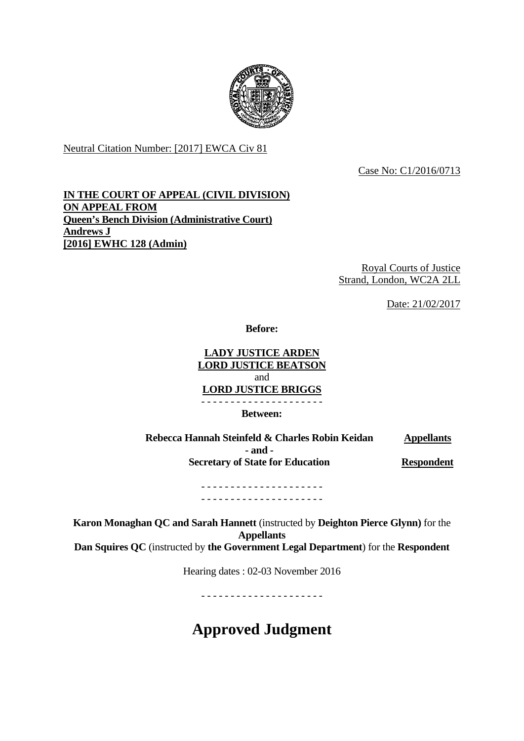

Neutral Citation Number: [2017] EWCA Civ 81

Case No: C1/2016/0713

### **IN THE COURT OF APPEAL (CIVIL DIVISION) ON APPEAL FROM Queen's Bench Division (Administrative Court) Andrews J [2016] EWHC 128 (Admin)**

Royal Courts of Justice Strand, London, WC2A 2LL

Date: 21/02/2017

**Before:** 

#### **LADY JUSTICE ARDEN LORD JUSTICE BEATSON**  and **LORD JUSTICE BRIGGS**  - - - - - - - - - - - - - - - - - - - - -

**Between:** 

**Rebecca Hannah Steinfeld & Charles Robin Keidan - and - Secretary of State for Education Appellants Respondent** 

> - - - - - - - - - - - - - - - - - - - - - - - - - - - - - - - - - - - - - - - - - -

**Karon Monaghan QC and Sarah Hannett** (instructed by **Deighton Pierce Glynn)** for the **Appellants Dan Squires QC** (instructed by **the Government Legal Department**) for the **Respondent**

Hearing dates : 02-03 November 2016

- - - - - - - - - - - - - - - - - - - - -

# **Approved Judgment**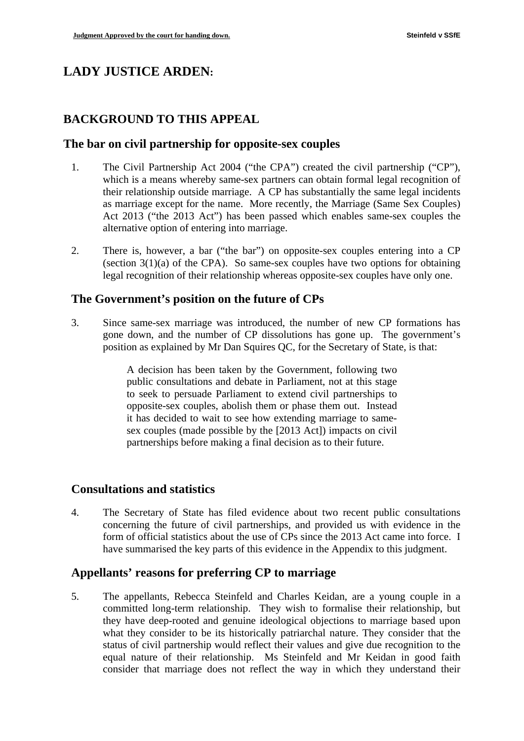# **LADY JUSTICE ARDEN:**

### **BACKGROUND TO THIS APPEAL**

#### **The bar on civil partnership for opposite-sex couples**

- 1. The Civil Partnership Act 2004 ("the CPA") created the civil partnership ("CP"), which is a means whereby same-sex partners can obtain formal legal recognition of their relationship outside marriage. A CP has substantially the same legal incidents as marriage except for the name. More recently, the Marriage (Same Sex Couples) Act 2013 ("the 2013 Act") has been passed which enables same-sex couples the alternative option of entering into marriage.
- 2. There is, however, a bar ("the bar") on opposite-sex couples entering into a CP (section  $3(1)(a)$  of the CPA). So same-sex couples have two options for obtaining legal recognition of their relationship whereas opposite-sex couples have only one.

### **The Government's position on the future of CPs**

3. Since same-sex marriage was introduced, the number of new CP formations has gone down, and the number of CP dissolutions has gone up. The government's position as explained by Mr Dan Squires QC, for the Secretary of State, is that:

> A decision has been taken by the Government, following two public consultations and debate in Parliament, not at this stage to seek to persuade Parliament to extend civil partnerships to opposite-sex couples, abolish them or phase them out. Instead it has decided to wait to see how extending marriage to samesex couples (made possible by the [2013 Act]) impacts on civil partnerships before making a final decision as to their future.

### **Consultations and statistics**

4. The Secretary of State has filed evidence about two recent public consultations concerning the future of civil partnerships, and provided us with evidence in the form of official statistics about the use of CPs since the 2013 Act came into force. I have summarised the key parts of this evidence in the Appendix to this judgment.

### **Appellants' reasons for preferring CP to marriage**

5. The appellants, Rebecca Steinfeld and Charles Keidan, are a young couple in a committed long-term relationship. They wish to formalise their relationship, but they have deep-rooted and genuine ideological objections to marriage based upon what they consider to be its historically patriarchal nature. They consider that the status of civil partnership would reflect their values and give due recognition to the equal nature of their relationship. Ms Steinfeld and Mr Keidan in good faith consider that marriage does not reflect the way in which they understand their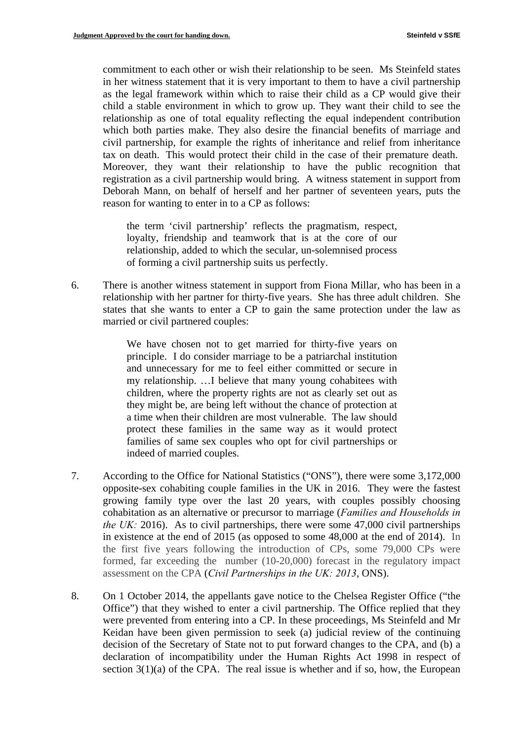commitment to each other or wish their relationship to be seen. Ms Steinfeld states in her witness statement that it is very important to them to have a civil partnership as the legal framework within which to raise their child as a CP would give their child a stable environment in which to grow up. They want their child to see the relationship as one of total equality reflecting the equal independent contribution which both parties make. They also desire the financial benefits of marriage and civil partnership, for example the rights of inheritance and relief from inheritance tax on death. This would protect their child in the case of their premature death. Moreover, they want their relationship to have the public recognition that registration as a civil partnership would bring. A witness statement in support from Deborah Mann, on behalf of herself and her partner of seventeen years, puts the reason for wanting to enter in to a CP as follows:

the term 'civil partnership' reflects the pragmatism, respect, loyalty, friendship and teamwork that is at the core of our relationship, added to which the secular, un-solemnised process of forming a civil partnership suits us perfectly.

6. There is another witness statement in support from Fiona Millar, who has been in a relationship with her partner for thirty-five years. She has three adult children. She states that she wants to enter a CP to gain the same protection under the law as married or civil partnered couples:

> We have chosen not to get married for thirty-five years on principle. I do consider marriage to be a patriarchal institution and unnecessary for me to feel either committed or secure in my relationship. …I believe that many young cohabitees with children, where the property rights are not as clearly set out as they might be, are being left without the chance of protection at a time when their children are most vulnerable. The law should protect these families in the same way as it would protect families of same sex couples who opt for civil partnerships or indeed of married couples.

- 7. According to the Office for National Statistics ("ONS"), there were some 3,172,000 opposite-sex cohabiting couple families in the UK in 2016. They were the fastest growing family type over the last 20 years, with couples possibly choosing cohabitation as an alternative or precursor to marriage (*Families and Households in the UK:* 2016). As to civil partnerships, there were some 47,000 civil partnerships in existence at the end of 2015 (as opposed to some 48,000 at the end of 2014). In the first five years following the introduction of CPs, some 79,000 CPs were formed, far exceeding the number (10-20,000) forecast in the regulatory impact assessment on the CPA (*Civil Partnerships in the UK: 2013*, ONS).
- 8. On 1 October 2014, the appellants gave notice to the Chelsea Register Office ("the Office") that they wished to enter a civil partnership. The Office replied that they were prevented from entering into a CP. In these proceedings, Ms Steinfeld and Mr Keidan have been given permission to seek (a) judicial review of the continuing decision of the Secretary of State not to put forward changes to the CPA, and (b) a declaration of incompatibility under the Human Rights Act 1998 in respect of section  $3(1)(a)$  of the CPA. The real issue is whether and if so, how, the European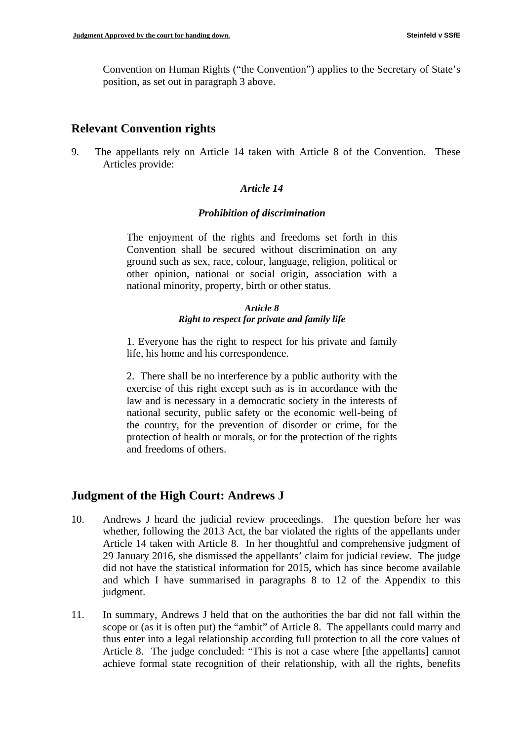Convention on Human Rights ("the Convention") applies to the Secretary of State's position, as set out in paragraph 3 above.

### **Relevant Convention rights**

9. The appellants rely on Article 14 taken with Article 8 of the Convention. These Articles provide:

### *Article 14*

#### *Prohibition of discrimination*

The enjoyment of the rights and freedoms set forth in this Convention shall be secured without discrimination on any ground such as sex, race, colour, language, religion, political or other opinion, national or social origin, association with a national minority, property, birth or other status.

#### *Article 8 Right to respect for private and family life*

1. Everyone has the right to respect for his private and family life, his home and his correspondence.

2. There shall be no interference by a public authority with the exercise of this right except such as is in accordance with the law and is necessary in a democratic society in the interests of national security, public safety or the economic well-being of the country, for the prevention of disorder or crime, for the protection of health or morals, or for the protection of the rights and freedoms of others.

### **Judgment of the High Court: Andrews J**

- 10. Andrews J heard the judicial review proceedings. The question before her was whether, following the 2013 Act, the bar violated the rights of the appellants under Article 14 taken with Article 8. In her thoughtful and comprehensive judgment of 29 January 2016, she dismissed the appellants' claim for judicial review. The judge did not have the statistical information for 2015, which has since become available and which I have summarised in paragraphs 8 to 12 of the Appendix to this judgment.
- 11. In summary, Andrews J held that on the authorities the bar did not fall within the scope or (as it is often put) the "ambit" of Article 8. The appellants could marry and thus enter into a legal relationship according full protection to all the core values of Article 8. The judge concluded: "This is not a case where [the appellants] cannot achieve formal state recognition of their relationship, with all the rights, benefits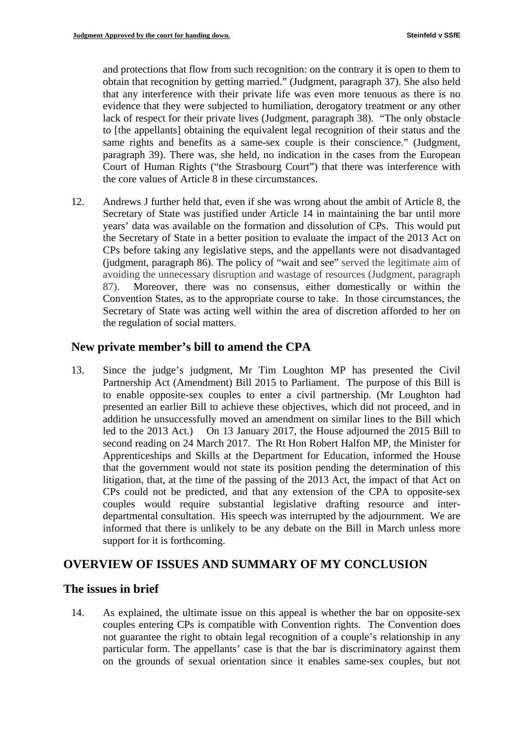and protections that flow from such recognition: on the contrary it is open to them to obtain that recognition by getting married." (Judgment, paragraph 37). She also held that any interference with their private life was even more tenuous as there is no evidence that they were subjected to humiliation, derogatory treatment or any other lack of respect for their private lives (Judgment, paragraph 38). "The only obstacle to [the appellants] obtaining the equivalent legal recognition of their status and the same rights and benefits as a same-sex couple is their conscience." (Judgment, paragraph 39). There was, she held, no indication in the cases from the European Court of Human Rights ("the Strasbourg Court") that there was interference with the core values of Article 8 in these circumstances.

12. Andrews J further held that, even if she was wrong about the ambit of Article 8, the Secretary of State was justified under Article 14 in maintaining the bar until more years' data was available on the formation and dissolution of CPs. This would put the Secretary of State in a better position to evaluate the impact of the 2013 Act on CPs before taking any legislative steps, and the appellants were not disadvantaged (judgment, paragraph 86). The policy of "wait and see" served the legitimate aim of avoiding the unnecessary disruption and wastage of resources (Judgment, paragraph 87). Moreover, there was no consensus, either domestically or within the Convention States, as to the appropriate course to take. In those circumstances, the Secretary of State was acting well within the area of discretion afforded to her on the regulation of social matters.

### **New private member's bill to amend the CPA**

 led to the 2013 Act.) On 13 January 2017, the House adjourned the 2015 Bill to 13. Since the judge's judgment, Mr Tim Loughton MP has presented the Civil Partnership Act (Amendment) Bill 2015 to Parliament. The purpose of this Bill is to enable opposite-sex couples to enter a civil partnership. (Mr Loughton had presented an earlier Bill to achieve these objectives, which did not proceed, and in addition he unsuccessfully moved an amendment on similar lines to the Bill which second reading on 24 March 2017. The Rt Hon Robert Halfon MP, the Minister for Apprenticeships and Skills at the Department for Education, informed the House that the government would not state its position pending the determination of this litigation, that, at the time of the passing of the 2013 Act, the impact of that Act on CPs could not be predicted, and that any extension of the CPA to opposite-sex couples would require substantial legislative drafting resource and interdepartmental consultation. His speech was interrupted by the adjournment. We are informed that there is unlikely to be any debate on the Bill in March unless more support for it is forthcoming.

### **OVERVIEW OF ISSUES AND SUMMARY OF MY CONCLUSION**

### **The issues in brief**

14. As explained, the ultimate issue on this appeal is whether the bar on opposite-sex couples entering CPs is compatible with Convention rights. The Convention does not guarantee the right to obtain legal recognition of a couple's relationship in any particular form. The appellants' case is that the bar is discriminatory against them on the grounds of sexual orientation since it enables same-sex couples, but not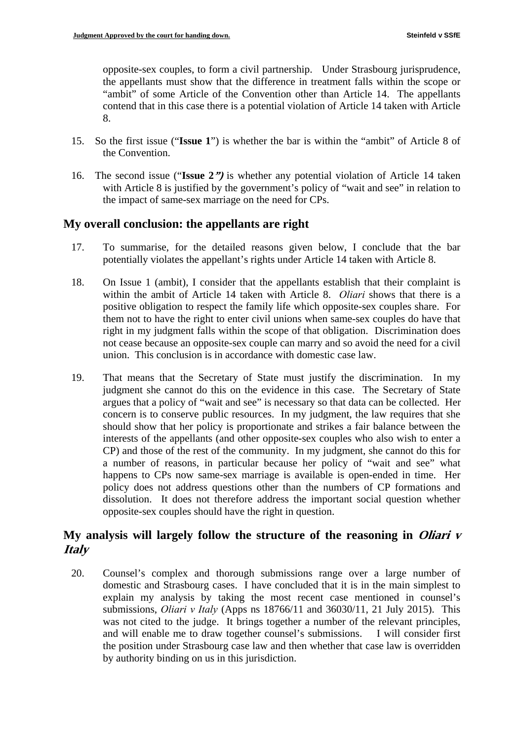opposite-sex couples, to form a civil partnership. Under Strasbourg jurisprudence, the appellants must show that the difference in treatment falls within the scope or "ambit" of some Article of the Convention other than Article 14. The appellants contend that in this case there is a potential violation of Article 14 taken with Article 8.

- 15. So the first issue ("**Issue 1**") is whether the bar is within the "ambit" of Article 8 of the Convention.
- 16. The second issue ("**Issue 2")** is whether any potential violation of Article 14 taken with Article 8 is justified by the government's policy of "wait and see" in relation to the impact of same-sex marriage on the need for CPs.

### **My overall conclusion: the appellants are right**

- 17. To summarise, for the detailed reasons given below, I conclude that the bar potentially violates the appellant's rights under Article 14 taken with Article 8.
- 18. On Issue 1 (ambit), I consider that the appellants establish that their complaint is within the ambit of Article 14 taken with Article 8. *Oliari* shows that there is a positive obligation to respect the family life which opposite-sex couples share. For them not to have the right to enter civil unions when same-sex couples do have that right in my judgment falls within the scope of that obligation. Discrimination does not cease because an opposite-sex couple can marry and so avoid the need for a civil union. This conclusion is in accordance with domestic case law.
- 19. That means that the Secretary of State must justify the discrimination. In my judgment she cannot do this on the evidence in this case. The Secretary of State argues that a policy of "wait and see" is necessary so that data can be collected. Her concern is to conserve public resources. In my judgment, the law requires that she should show that her policy is proportionate and strikes a fair balance between the interests of the appellants (and other opposite-sex couples who also wish to enter a CP) and those of the rest of the community. In my judgment, she cannot do this for a number of reasons, in particular because her policy of "wait and see" what happens to CPs now same-sex marriage is available is open-ended in time. Her policy does not address questions other than the numbers of CP formations and dissolution. It does not therefore address the important social question whether opposite-sex couples should have the right in question.

### **My analysis will largely follow the structure of the reasoning in Oliari v Italy**

20. Counsel's complex and thorough submissions range over a large number of domestic and Strasbourg cases. I have concluded that it is in the main simplest to explain my analysis by taking the most recent case mentioned in counsel's submissions, *Oliari v Italy* (Apps ns 18766/11 and 36030/11, 21 July 2015). This was not cited to the judge. It brings together a number of the relevant principles, and will enable me to draw together counsel's submissions. I will consider first the position under Strasbourg case law and then whether that case law is overridden by authority binding on us in this jurisdiction.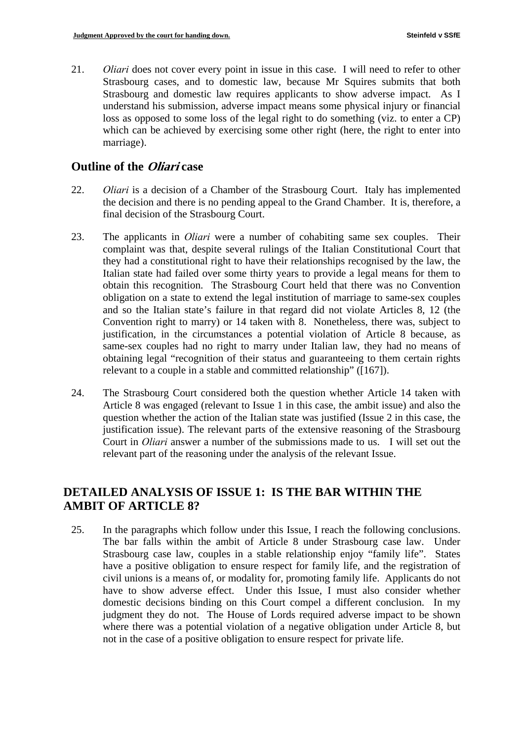21. *Oliari* does not cover every point in issue in this case. I will need to refer to other Strasbourg cases, and to domestic law, because Mr Squires submits that both Strasbourg and domestic law requires applicants to show adverse impact. As I understand his submission, adverse impact means some physical injury or financial loss as opposed to some loss of the legal right to do something (viz. to enter a CP) which can be achieved by exercising some other right (here, the right to enter into marriage).

### **Outline of the Oliari case**

- 22. *Oliari* is a decision of a Chamber of the Strasbourg Court. Italy has implemented the decision and there is no pending appeal to the Grand Chamber. It is, therefore, a final decision of the Strasbourg Court.
- 23. The applicants in *Oliari* were a number of cohabiting same sex couples. Their complaint was that, despite several rulings of the Italian Constitutional Court that they had a constitutional right to have their relationships recognised by the law, the Italian state had failed over some thirty years to provide a legal means for them to obtain this recognition. The Strasbourg Court held that there was no Convention obligation on a state to extend the legal institution of marriage to same-sex couples and so the Italian state's failure in that regard did not violate Articles 8, 12 (the Convention right to marry) or 14 taken with 8. Nonetheless, there was, subject to justification, in the circumstances a potential violation of Article 8 because, as same-sex couples had no right to marry under Italian law, they had no means of obtaining legal "recognition of their status and guaranteeing to them certain rights relevant to a couple in a stable and committed relationship" ([167]).
- 24. The Strasbourg Court considered both the question whether Article 14 taken with Article 8 was engaged (relevant to Issue 1 in this case, the ambit issue) and also the question whether the action of the Italian state was justified (Issue 2 in this case, the justification issue). The relevant parts of the extensive reasoning of the Strasbourg Court in *Oliari* answer a number of the submissions made to us. I will set out the relevant part of the reasoning under the analysis of the relevant Issue.

# **DETAILED ANALYSIS OF ISSUE 1: IS THE BAR WITHIN THE AMBIT OF ARTICLE 8?**

In the paragraphs which follow under this Issue, I reach the following conclusions. 25. In the paragraphs which follow under this Issue, I reach the following conclusions. The bar falls within the ambit of Article 8 under Strasbourg case law. Under Strasbourg case law, couples in a stable relationship enjoy "family life". States have a positive obligation to ensure respect for family life, and the registration of civil unions is a means of, or modality for, promoting family life. Applicants do not have to show adverse effect. Under this Issue, I must also consider whether domestic decisions binding on this Court compel a different conclusion. In my judgment they do not. The House of Lords required adverse impact to be shown where there was a potential violation of a negative obligation under Article 8, but not in the case of a positive obligation to ensure respect for private life.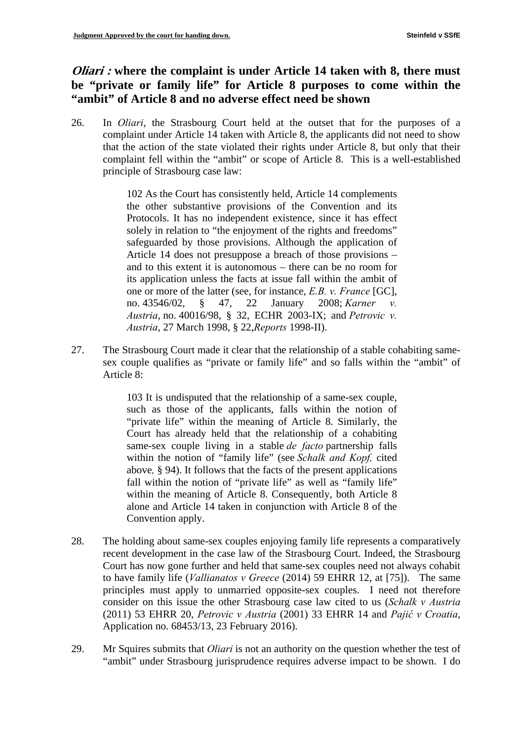# *Oliari***: where the complaint is under Article 14 taken with 8, there must be "private or family life" for Article 8 purposes to come within the "ambit" of Article 8 and no adverse effect need be shown**

26. In *Oliari*, the Strasbourg Court held at the outset that for the purposes of a complaint under Article 14 taken with Article 8, the applicants did not need to show that the action of the state violated their rights under Article 8, but only that their complaint fell within the "ambit" or scope of Article 8. This is a well-established principle of Strasbourg case law:

> 102 As the Court has consistently held, Article 14 complements the other substantive provisions of the Convention and its Protocols. It has no independent existence, since it has effect solely in relation to "the enjoyment of the rights and freedoms" safeguarded by those provisions. Although the application of Article 14 does not presuppose a breach of those provisions – and to this extent it is autonomous – there can be no room for its application unless the facts at issue fall within the ambit of one or more of the latter (see, for instance, *E.B. v. France* [GC], no. 43546/02, § 47, 22 January 2008; *Karner v. Austria*, no. 40016/98, § 32, ECHR 2003-IX; and *Petrovic v. Austria*, 27 March 1998, § 22,*Reports* 1998-II).

27. The Strasbourg Court made it clear that the relationship of a stable cohabiting samesex couple qualifies as "private or family life" and so falls within the "ambit" of Article 8:

> 103 It is undisputed that the relationship of a same-sex couple, such as those of the applicants, falls within the notion of "private life" within the meaning of Article 8. Similarly, the Court has already held that the relationship of a cohabiting same-sex couple living in a stable *de facto* partnership falls within the notion of "family life" (see *Schalk and Kopf,* cited above*,* § 94). It follows that the facts of the present applications fall within the notion of "private life" as well as "family life" within the meaning of Article 8. Consequently, both Article 8 alone and Article 14 taken in conjunction with Article 8 of the Convention apply.

- 28. The holding about same-sex couples enjoying family life represents a comparatively recent development in the case law of the Strasbourg Court. Indeed, the Strasbourg Court has now gone further and held that same-sex couples need not always cohabit to have family life (*Vallianatos v Greece* (2014) 59 EHRR 12, at [75]). The same principles must apply to unmarried opposite-sex couples. I need not therefore consider on this issue the other Strasbourg case law cited to us (*Schalk v Austria*  (2011) 53 EHRR 20, *Petrovic v Austria* (2001) 33 EHRR 14 and *Pajić v Croatia*, Application no. 68453/13, 23 February 2016).
- 29. Mr Squires submits that *Oliari* is not an authority on the question whether the test of "ambit" under Strasbourg jurisprudence requires adverse impact to be shown. I do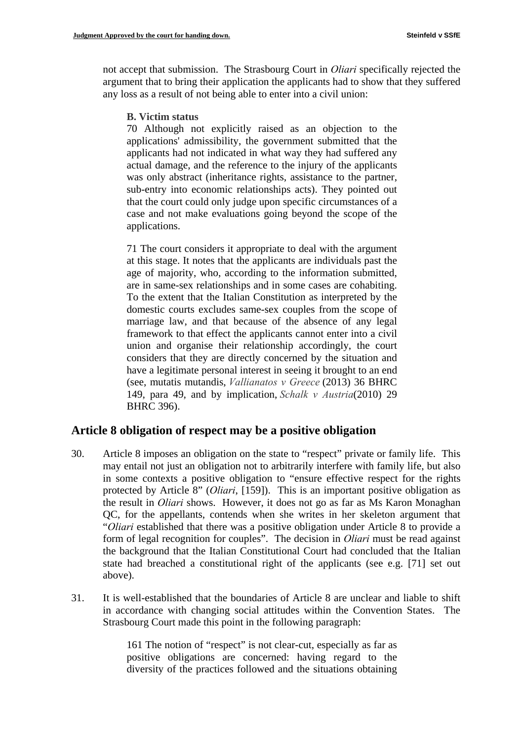not accept that submission. The Strasbourg Court in *Oliari* specifically rejected the argument that to bring their application the applicants had to show that they suffered any loss as a result of not being able to enter into a civil union:

**B. Victim status** 

70 Although not explicitly raised as an objection to the applications' admissibility, the government submitted that the applicants had not indicated in what way they had suffered any actual damage, and the reference to the injury of the applicants was only abstract (inheritance rights, assistance to the partner, sub-entry into economic relationships acts). They pointed out that the court could only judge upon specific circumstances of a case and not make evaluations going beyond the scope of the applications.

71 The court considers it appropriate to deal with the argument at this stage. It notes that the applicants are individuals past the age of majority, who, according to the information submitted, are in same-sex relationships and in some cases are cohabiting. To the extent that the Italian Constitution as interpreted by the domestic courts excludes same-sex couples from the scope of marriage law, and that because of the absence of any legal framework to that effect the applicants cannot enter into a civil union and organise their relationship accordingly, the court considers that they are directly concerned by the situation and have a legitimate personal interest in seeing it brought to an end (see, mutatis mutandis, *Vallianatos v Greece* (2013) 36 BHRC 149, para 49, and by implication, *Schalk v Austria*(2010) 29 BHRC 396).

### **Article 8 obligation of respect may be a positive obligation**

- 30. Article 8 imposes an obligation on the state to "respect" private or family life. This may entail not just an obligation not to arbitrarily interfere with family life, but also in some contexts a positive obligation to "ensure effective respect for the rights protected by Article 8" (*Oliari*, [159]). This is an important positive obligation as the result in *Oliari* shows. However, it does not go as far as Ms Karon Monaghan QC, for the appellants, contends when she writes in her skeleton argument that "*Oliari* established that there was a positive obligation under Article 8 to provide a form of legal recognition for couples". The decision in *Oliari* must be read against the background that the Italian Constitutional Court had concluded that the Italian state had breached a constitutional right of the applicants (see e.g. [71] set out above).
- 31. It is well-established that the boundaries of Article 8 are unclear and liable to shift in accordance with changing social attitudes within the Convention States. The Strasbourg Court made this point in the following paragraph:

161 The notion of "respect" is not clear-cut, especially as far as positive obligations are concerned: having regard to the diversity of the practices followed and the situations obtaining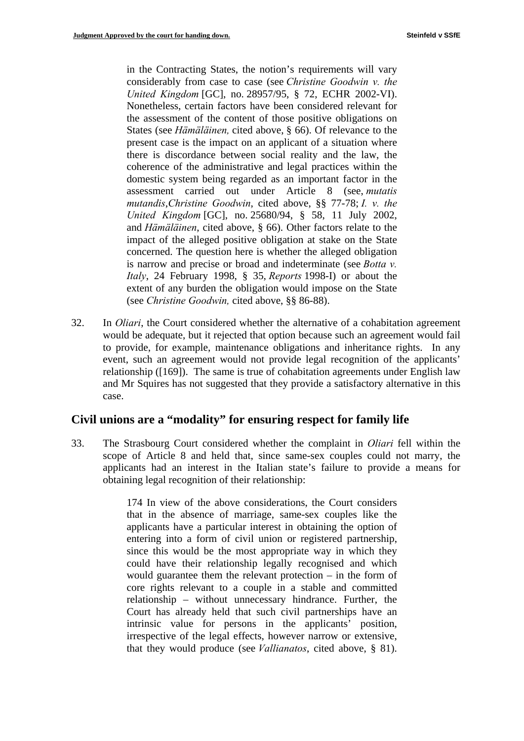in the Contracting States, the notion's requirements will vary considerably from case to case (see *Christine Goodwin v. the United Kingdom* [GC], no. 28957/95, § 72, ECHR 2002-VI). Nonetheless, certain factors have been considered relevant for the assessment of the content of those positive obligations on States (see *Hämäläinen,* cited above, § 66). Of relevance to the present case is the impact on an applicant of a situation where there is discordance between social reality and the law, the coherence of the administrative and legal practices within the domestic system being regarded as an important factor in the assessment carried out under Article 8 (see, *mutatis mutandis*,*Christine Goodwin*, cited above, §§ 77-78; *I. v. the United Kingdom* [GC], no. 25680/94, § 58, 11 July 2002, and *Hämäläinen*, cited above, § 66). Other factors relate to the impact of the alleged positive obligation at stake on the State concerned. The question here is whether the alleged obligation is narrow and precise or broad and indeterminate (see *Botta v. Italy*, 24 February 1998, § 35, *Reports* 1998-I) or about the extent of any burden the obligation would impose on the State (see *Christine Goodwin,* cited above, §§ 86-88).

32. In *Oliari*, the Court considered whether the alternative of a cohabitation agreement would be adequate, but it rejected that option because such an agreement would fail to provide, for example, maintenance obligations and inheritance rights. In any event, such an agreement would not provide legal recognition of the applicants' relationship ([169]). The same is true of cohabitation agreements under English law and Mr Squires has not suggested that they provide a satisfactory alternative in this case.

### **Civil unions are a "modality" for ensuring respect for family life**

33. The Strasbourg Court considered whether the complaint in *Oliari* fell within the scope of Article 8 and held that, since same-sex couples could not marry, the applicants had an interest in the Italian state's failure to provide a means for obtaining legal recognition of their relationship:

> 174 In view of the above considerations, the Court considers that in the absence of marriage, same-sex couples like the applicants have a particular interest in obtaining the option of entering into a form of civil union or registered partnership, since this would be the most appropriate way in which they could have their relationship legally recognised and which would guarantee them the relevant protection – in the form of core rights relevant to a couple in a stable and committed relationship – without unnecessary hindrance. Further, the Court has already held that such civil partnerships have an intrinsic value for persons in the applicants' position, irrespective of the legal effects, however narrow or extensive, that they would produce (see *Vallianatos*, cited above, § 81).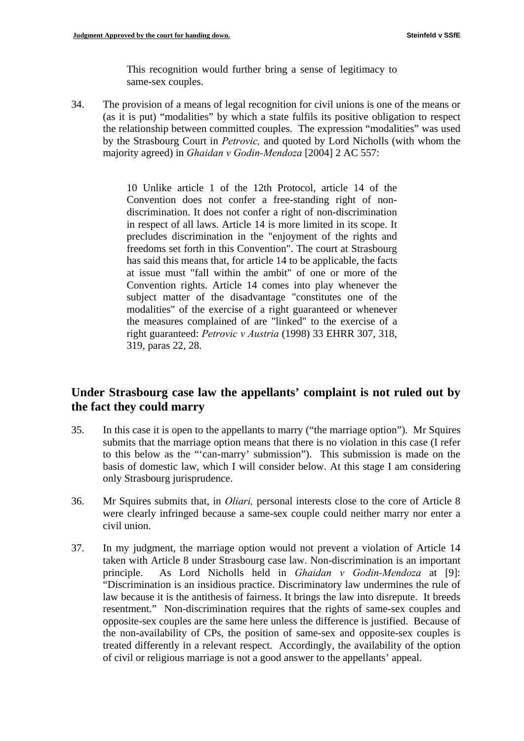This recognition would further bring a sense of legitimacy to same-sex couples.

34. The provision of a means of legal recognition for civil unions is one of the means or (as it is put) "modalities" by which a state fulfils its positive obligation to respect the relationship between committed couples. The expression "modalities" was used by the Strasbourg Court in *Petrovic,* and quoted by Lord Nicholls (with whom the majority agreed) in *Ghaidan v Godin-Mendoza* [2004] 2 AC 557:

> 10 Unlike article 1 of the 12th Protocol, article 14 of the Convention does not confer a free-standing right of nondiscrimination. It does not confer a right of non-discrimination in respect of all laws. Article 14 is more limited in its scope. It precludes discrimination in the "enjoyment of the rights and freedoms set forth in this Convention". The court at Strasbourg has said this means that, for article 14 to be applicable, the facts at issue must "fall within the ambit" of one or more of the Convention rights. Article 14 comes into play whenever the subject matter of the disadvantage "constitutes one of the modalities" of the exercise of a right guaranteed or whenever the measures complained of are "linked" to the exercise of a right guaranteed: *Petrovic v Austria* (1998) 33 EHRR 307, 318, 319, paras 22, 28.

### **Under Strasbourg case law the appellants' complaint is not ruled out by the fact they could marry**

- 35. In this case it is open to the appellants to marry ("the marriage option"). Mr Squires submits that the marriage option means that there is no violation in this case (I refer to this below as the "'can-marry' submission"). This submission is made on the basis of domestic law, which I will consider below. At this stage I am considering only Strasbourg jurisprudence.
- 36. Mr Squires submits that, in *Oliari,* personal interests close to the core of Article 8 were clearly infringed because a same-sex couple could neither marry nor enter a civil union.
- 37. In my judgment, the marriage option would not prevent a violation of Article 14 taken with Article 8 under Strasbourg case law. Non-discrimination is an important principle. As Lord Nicholls held in *Ghaidan v Godin-Mendoza* at [9]: "Discrimination is an insidious practice. Discriminatory law undermines the rule of law because it is the antithesis of fairness. It brings the law into disrepute. It breeds resentment." Non-discrimination requires that the rights of same-sex couples and opposite-sex couples are the same here unless the difference is justified. Because of the non-availability of CPs, the position of same-sex and opposite-sex couples is treated differently in a relevant respect. Accordingly, the availability of the option of civil or religious marriage is not a good answer to the appellants' appeal.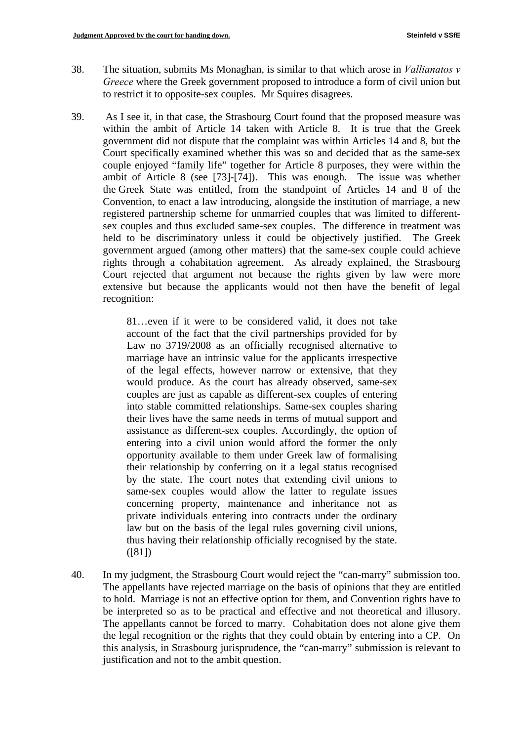- 38. The situation, submits Ms Monaghan, is similar to that which arose in *Vallianatos v Greece* where the Greek government proposed to introduce a form of civil union but to restrict it to opposite-sex couples. Mr Squires disagrees.
- 39. As I see it, in that case, the Strasbourg Court found that the proposed measure was within the ambit of Article 14 taken with Article 8. It is true that the Greek government did not dispute that the complaint was within Articles 14 and 8, but the Court specifically examined whether this was so and decided that as the same-sex couple enjoyed "family life" together for Article 8 purposes, they were within the ambit of Article 8 (see [73]-[74]). This was enough. The issue was whether the Greek State was entitled, from the standpoint of Articles 14 and 8 of the Convention, to enact a law introducing, alongside the institution of marriage, a new registered partnership scheme for unmarried couples that was limited to differentsex couples and thus excluded same-sex couples. The difference in treatment was held to be discriminatory unless it could be objectively justified. The Greek government argued (among other matters) that the same-sex couple could achieve rights through a cohabitation agreement. As already explained, the Strasbourg Court rejected that argument not because the rights given by law were more extensive but because the applicants would not then have the benefit of legal recognition:

81…even if it were to be considered valid, it does not take account of the fact that the civil partnerships provided for by Law no 3719/2008 as an officially recognised alternative to marriage have an intrinsic value for the applicants irrespective of the legal effects, however narrow or extensive, that they would produce. As the court has already observed, same-sex couples are just as capable as different-sex couples of entering into stable committed relationships. Same-sex couples sharing their lives have the same needs in terms of mutual support and assistance as different-sex couples. Accordingly, the option of entering into a civil union would afford the former the only opportunity available to them under Greek law of formalising their relationship by conferring on it a legal status recognised by the state. The court notes that extending civil unions to same-sex couples would allow the latter to regulate issues concerning property, maintenance and inheritance not as private individuals entering into contracts under the ordinary law but on the basis of the legal rules governing civil unions, thus having their relationship officially recognised by the state. ([81])

40. In my judgment, the Strasbourg Court would reject the "can-marry" submission too. The appellants have rejected marriage on the basis of opinions that they are entitled to hold. Marriage is not an effective option for them, and Convention rights have to be interpreted so as to be practical and effective and not theoretical and illusory. The appellants cannot be forced to marry. Cohabitation does not alone give them the legal recognition or the rights that they could obtain by entering into a CP. On this analysis, in Strasbourg jurisprudence, the "can-marry" submission is relevant to justification and not to the ambit question.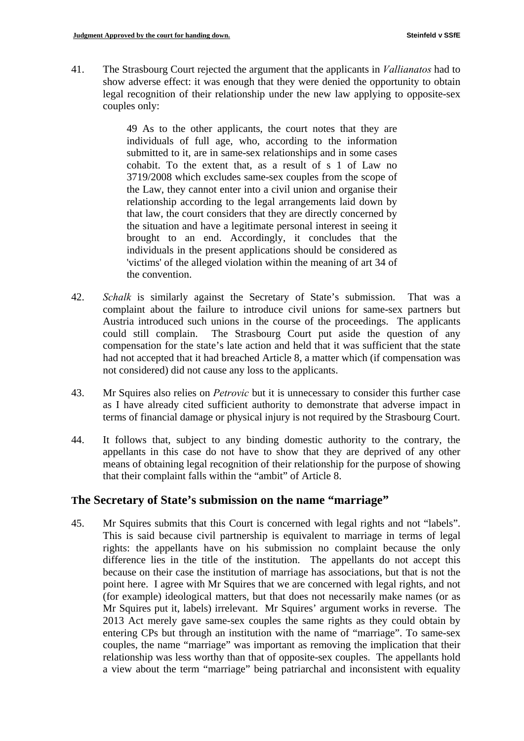41. The Strasbourg Court rejected the argument that the applicants in *Vallianatos* had to show adverse effect: it was enough that they were denied the opportunity to obtain legal recognition of their relationship under the new law applying to opposite-sex couples only:

> 49 As to the other applicants, the court notes that they are individuals of full age, who, according to the information submitted to it, are in same-sex relationships and in some cases cohabit. To the extent that, as a result of s 1 of Law no 3719/2008 which excludes same-sex couples from the scope of the Law, they cannot enter into a civil union and organise their relationship according to the legal arrangements laid down by that law, the court considers that they are directly concerned by the situation and have a legitimate personal interest in seeing it brought to an end. Accordingly, it concludes that the individuals in the present applications should be considered as 'victims' of the alleged violation within the meaning of art 34 of the convention.

- 42. *Schalk* is similarly against the Secretary of State's submission. That was a complaint about the failure to introduce civil unions for same-sex partners but Austria introduced such unions in the course of the proceedings. The applicants could still complain. The Strasbourg Court put aside the question of any compensation for the state's late action and held that it was sufficient that the state had not accepted that it had breached Article 8, a matter which (if compensation was not considered) did not cause any loss to the applicants.
- 43. Mr Squires also relies on *Petrovic* but it is unnecessary to consider this further case as I have already cited sufficient authority to demonstrate that adverse impact in terms of financial damage or physical injury is not required by the Strasbourg Court.
- 44. It follows that, subject to any binding domestic authority to the contrary, the appellants in this case do not have to show that they are deprived of any other means of obtaining legal recognition of their relationship for the purpose of showing that their complaint falls within the "ambit" of Article 8.

### **The Secretary of State's submission on the name "marriage"**

45. Mr Squires submits that this Court is concerned with legal rights and not "labels". This is said because civil partnership is equivalent to marriage in terms of legal rights: the appellants have on his submission no complaint because the only difference lies in the title of the institution. The appellants do not accept this because on their case the institution of marriage has associations, but that is not the point here. I agree with Mr Squires that we are concerned with legal rights, and not (for example) ideological matters, but that does not necessarily make names (or as Mr Squires put it, labels) irrelevant. Mr Squires' argument works in reverse. The 2013 Act merely gave same-sex couples the same rights as they could obtain by entering CPs but through an institution with the name of "marriage". To same-sex couples, the name "marriage" was important as removing the implication that their relationship was less worthy than that of opposite-sex couples. The appellants hold a view about the term "marriage" being patriarchal and inconsistent with equality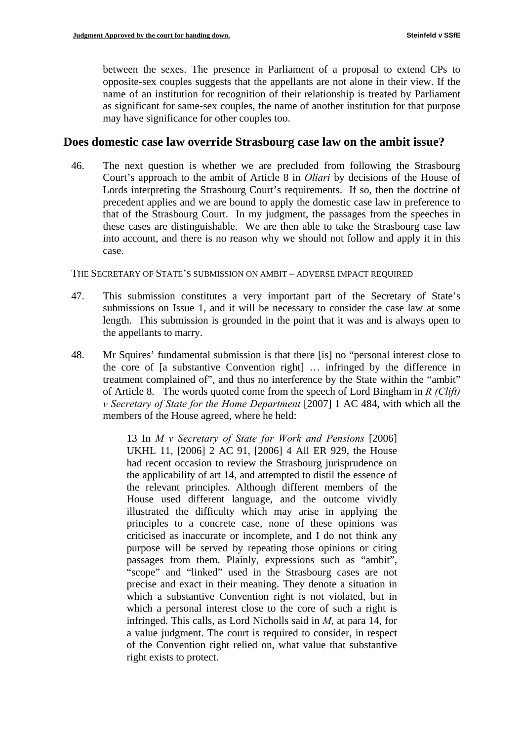between the sexes. The presence in Parliament of a proposal to extend CPs to opposite-sex couples suggests that the appellants are not alone in their view. If the name of an institution for recognition of their relationship is treated by Parliament as significant for same-sex couples, the name of another institution for that purpose may have significance for other couples too.

#### **Does domestic case law override Strasbourg case law on the ambit issue?**

46. The next question is whether we are precluded from following the Strasbourg Court's approach to the ambit of Article 8 in *Oliari* by decisions of the House of Lords interpreting the Strasbourg Court's requirements. If so, then the doctrine of precedent applies and we are bound to apply the domestic case law in preference to that of the Strasbourg Court. In my judgment, the passages from the speeches in these cases are distinguishable. We are then able to take the Strasbourg case law into account, and there is no reason why we should not follow and apply it in this case.

#### THE SECRETARY OF STATE'S SUBMISSION ON AMBIT – ADVERSE IMPACT REQUIRED

- 47. This submission constitutes a very important part of the Secretary of State's submissions on Issue 1, and it will be necessary to consider the case law at some length. This submission is grounded in the point that it was and is always open to the appellants to marry.
- 48. Mr Squires' fundamental submission is that there [is] no "personal interest close to the core of [a substantive Convention right] … infringed by the difference in treatment complained of", and thus no interference by the State within the "ambit" of Article 8. The words quoted come from the speech of Lord Bingham in *R (Clift) v Secretary of State for the Home Department* [2007] 1 AC 484, with which all the members of the House agreed, where he held:

13 In *M v Secretary of State for Work and Pensions* [2006] UKHL 11, [2006] 2 AC 91, [2006] 4 All ER 929, the House had recent occasion to review the Strasbourg jurisprudence on the applicability of art 14, and attempted to distil the essence of the relevant principles. Although different members of the House used different language, and the outcome vividly illustrated the difficulty which may arise in applying the principles to a concrete case, none of these opinions was criticised as inaccurate or incomplete, and I do not think any purpose will be served by repeating those opinions or citing passages from them. Plainly, expressions such as "ambit", "scope" and "linked" used in the Strasbourg cases are not precise and exact in their meaning. They denote a situation in which a substantive Convention right is not violated, but in which a personal interest close to the core of such a right is infringed. This calls, as Lord Nicholls said in *M*, at para 14, for a value judgment. The court is required to consider, in respect of the Convention right relied on, what value that substantive right exists to protect.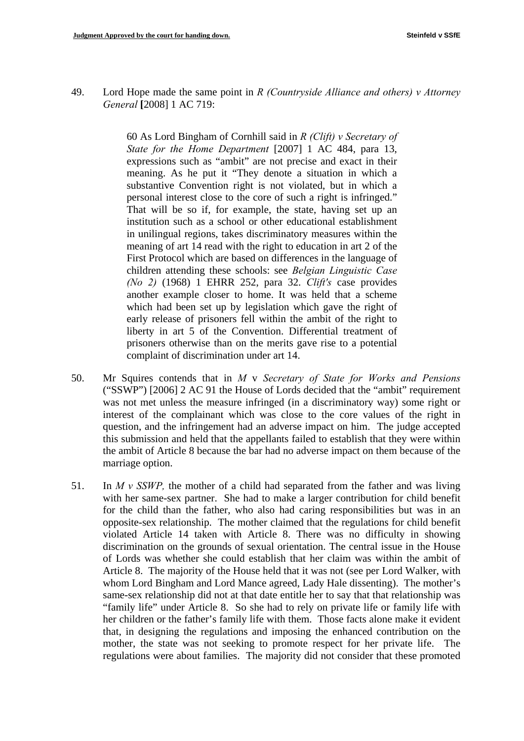49. Lord Hope made the same point in *R (Countryside Alliance and others) v Attorney General* **[**2008] 1 AC 719:

> 60 As Lord Bingham of Cornhill said in *R (Clift) v Secretary of State for the Home Department* [2007] 1 AC 484, para 13, expressions such as "ambit" are not precise and exact in their meaning. As he put it "They denote a situation in which a substantive Convention right is not violated, but in which a personal interest close to the core of such a right is infringed." That will be so if, for example, the state, having set up an institution such as a school or other educational establishment in unilingual regions, takes discriminatory measures within the meaning of art 14 read with the right to education in art 2 of the First Protocol which are based on differences in the language of children attending these schools: see *Belgian Linguistic Case (No 2)* (1968) 1 EHRR 252, para 32. *Clift's* case provides another example closer to home. It was held that a scheme which had been set up by legislation which gave the right of early release of prisoners fell within the ambit of the right to liberty in art 5 of the Convention. Differential treatment of prisoners otherwise than on the merits gave rise to a potential complaint of discrimination under art 14.

- 50. Mr Squires contends that in *M* v *Secretary of State for Works and Pensions*  ("SSWP") [2006] 2 AC 91 the House of Lords decided that the "ambit" requirement was not met unless the measure infringed (in a discriminatory way) some right or interest of the complainant which was close to the core values of the right in question, and the infringement had an adverse impact on him. The judge accepted this submission and held that the appellants failed to establish that they were within the ambit of Article 8 because the bar had no adverse impact on them because of the marriage option.
- 51. In  $M v$  SSWP, the mother of a child had separated from the father and was living with her same-sex partner. She had to make a larger contribution for child benefit for the child than the father, who also had caring responsibilities but was in an opposite-sex relationship. The mother claimed that the regulations for child benefit violated Article 14 taken with Article 8. There was no difficulty in showing discrimination on the grounds of sexual orientation. The central issue in the House of Lords was whether she could establish that her claim was within the ambit of Article 8. The majority of the House held that it was not (see per Lord Walker, with whom Lord Bingham and Lord Mance agreed, Lady Hale dissenting). The mother's same-sex relationship did not at that date entitle her to say that that relationship was "family life" under Article 8. So she had to rely on private life or family life with her children or the father's family life with them. Those facts alone make it evident that, in designing the regulations and imposing the enhanced contribution on the mother, the state was not seeking to promote respect for her private life. The regulations were about families. The majority did not consider that these promoted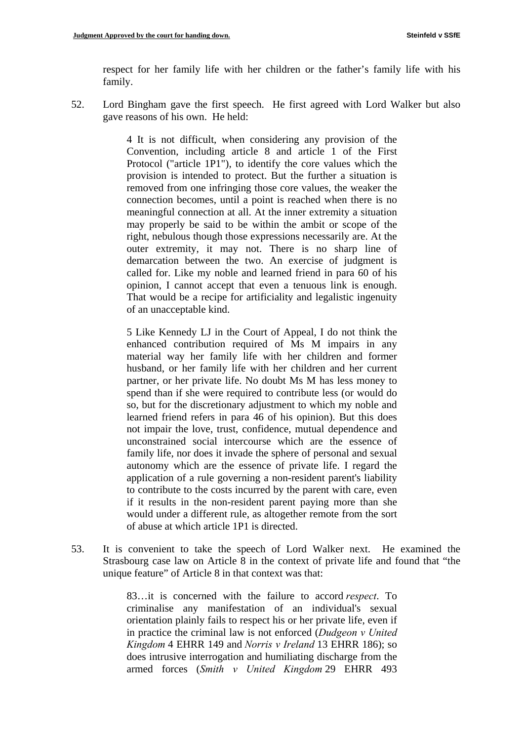respect for her family life with her children or the father's family life with his family.

52. Lord Bingham gave the first speech. He first agreed with Lord Walker but also gave reasons of his own. He held:

> 4 It is not difficult, when considering any provision of the Convention, including article 8 and article 1 of the First Protocol ("article 1P1"), to identify the core values which the provision is intended to protect. But the further a situation is removed from one infringing those core values, the weaker the connection becomes, until a point is reached when there is no meaningful connection at all. At the inner extremity a situation may properly be said to be within the ambit or scope of the right, nebulous though those expressions necessarily are. At the outer extremity, it may not. There is no sharp line of demarcation between the two. An exercise of judgment is called for. Like my noble and learned friend in para 60 of his opinion, I cannot accept that even a tenuous link is enough. That would be a recipe for artificiality and legalistic ingenuity of an unacceptable kind.

> 5 Like Kennedy LJ in the Court of Appeal, I do not think the enhanced contribution required of Ms M impairs in any material way her family life with her children and former husband, or her family life with her children and her current partner, or her private life. No doubt Ms M has less money to spend than if she were required to contribute less (or would do so, but for the discretionary adjustment to which my noble and learned friend refers in para 46 of his opinion). But this does not impair the love, trust, confidence, mutual dependence and unconstrained social intercourse which are the essence of family life, nor does it invade the sphere of personal and sexual autonomy which are the essence of private life. I regard the application of a rule governing a non-resident parent's liability to contribute to the costs incurred by the parent with care, even if it results in the non-resident parent paying more than she would under a different rule, as altogether remote from the sort of abuse at which article 1P1 is directed.

53. It is convenient to take the speech of Lord Walker next. He examined the Strasbourg case law on Article 8 in the context of private life and found that "the unique feature" of Article 8 in that context was that:

> 83…it is concerned with the failure to accord *respect*. To criminalise any manifestation of an individual's sexual orientation plainly fails to respect his or her private life, even if in practice the criminal law is not enforced (*Dudgeon v United Kingdom* 4 EHRR 149 and *Norris v Ireland* 13 EHRR 186); so does intrusive interrogation and humiliating discharge from the armed forces (*Smith v United Kingdom* 29 EHRR 493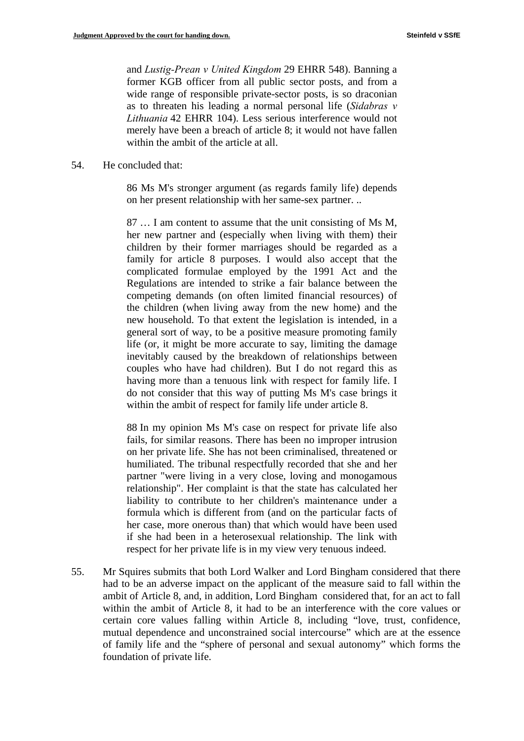and *Lustig-Prean v United Kingdom* 29 EHRR 548). Banning a former KGB officer from all public sector posts, and from a wide range of responsible private-sector posts, is so draconian as to threaten his leading a normal personal life (*Sidabras v Lithuania* 42 EHRR 104). Less serious interference would not merely have been a breach of article 8; it would not have fallen within the ambit of the article at all.

#### 54. He concluded that:

86 Ms M's stronger argument (as regards family life) depends on her present relationship with her same-sex partner. ..

87 … I am content to assume that the unit consisting of Ms M, her new partner and (especially when living with them) their children by their former marriages should be regarded as a family for article 8 purposes. I would also accept that the complicated formulae employed by the 1991 Act and the Regulations are intended to strike a fair balance between the competing demands (on often limited financial resources) of the children (when living away from the new home) and the new household. To that extent the legislation is intended, in a general sort of way, to be a positive measure promoting family life (or, it might be more accurate to say, limiting the damage inevitably caused by the breakdown of relationships between couples who have had children). But I do not regard this as having more than a tenuous link with respect for family life. I do not consider that this way of putting Ms M's case brings it within the ambit of respect for family life under article 8.

88 In my opinion Ms M's case on respect for private life also fails, for similar reasons. There has been no improper intrusion on her private life. She has not been criminalised, threatened or humiliated. The tribunal respectfully recorded that she and her partner "were living in a very close, loving and monogamous relationship". Her complaint is that the state has calculated her liability to contribute to her children's maintenance under a formula which is different from (and on the particular facts of her case, more onerous than) that which would have been used if she had been in a heterosexual relationship. The link with respect for her private life is in my view very tenuous indeed.

55. Mr Squires submits that both Lord Walker and Lord Bingham considered that there had to be an adverse impact on the applicant of the measure said to fall within the ambit of Article 8, and, in addition, Lord Bingham considered that, for an act to fall within the ambit of Article 8, it had to be an interference with the core values or certain core values falling within Article 8, including "love, trust, confidence, mutual dependence and unconstrained social intercourse" which are at the essence of family life and the "sphere of personal and sexual autonomy" which forms the foundation of private life.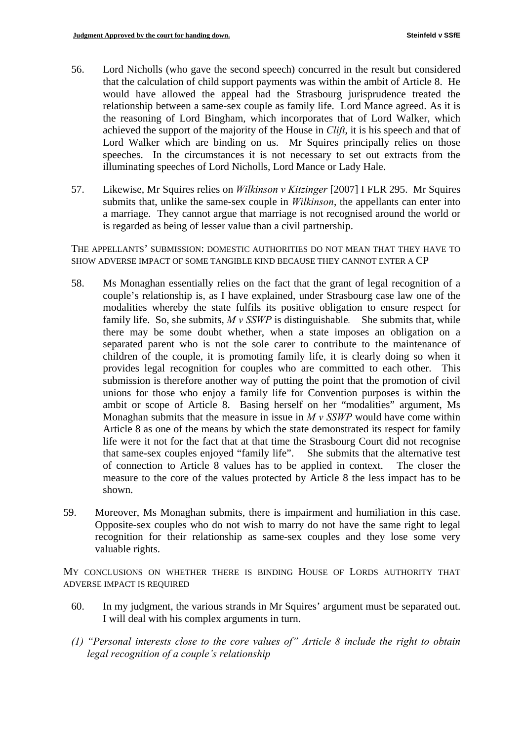- 56. Lord Nicholls (who gave the second speech) concurred in the result but considered that the calculation of child support payments was within the ambit of Article 8. He would have allowed the appeal had the Strasbourg jurisprudence treated the relationship between a same-sex couple as family life. Lord Mance agreed. As it is the reasoning of Lord Bingham, which incorporates that of Lord Walker, which achieved the support of the majority of the House in *Clift*, it is his speech and that of Lord Walker which are binding on us. Mr Squires principally relies on those speeches. In the circumstances it is not necessary to set out extracts from the illuminating speeches of Lord Nicholls, Lord Mance or Lady Hale.
- 57. Likewise, Mr Squires relies on *Wilkinson v Kitzinger* [2007] I FLR 295. Mr Squires submits that, unlike the same-sex couple in *Wilkinson*, the appellants can enter into a marriage. They cannot argue that marriage is not recognised around the world or is regarded as being of lesser value than a civil partnership.

THE APPELLANTS' SUBMISSION: DOMESTIC AUTHORITIES DO NOT MEAN THAT THEY HAVE TO SHOW ADVERSE IMPACT OF SOME TANGIBLE KIND BECAUSE THEY CANNOT ENTER A CP

- 58. Ms Monaghan essentially relies on the fact that the grant of legal recognition of a couple's relationship is, as I have explained, under Strasbourg case law one of the modalities whereby the state fulfils its positive obligation to ensure respect for family life. So, she submits, *M v SSWP* is distinguishable*.* She submits that, while there may be some doubt whether, when a state imposes an obligation on a separated parent who is not the sole carer to contribute to the maintenance of children of the couple, it is promoting family life, it is clearly doing so when it provides legal recognition for couples who are committed to each other. This submission is therefore another way of putting the point that the promotion of civil unions for those who enjoy a family life for Convention purposes is within the ambit or scope of Article 8. Basing herself on her "modalities" argument, Ms Monaghan submits that the measure in issue in *M v SSWP* would have come within Article 8 as one of the means by which the state demonstrated its respect for family life were it not for the fact that at that time the Strasbourg Court did not recognise that same-sex couples enjoyed "family life". She submits that the alternative test of connection to Article 8 values has to be applied in context. The closer the measure to the core of the values protected by Article 8 the less impact has to be shown.
- 59. Moreover, Ms Monaghan submits, there is impairment and humiliation in this case. Opposite-sex couples who do not wish to marry do not have the same right to legal recognition for their relationship as same-sex couples and they lose some very valuable rights.

MY CONCLUSIONS ON WHETHER THERE IS BINDING HOUSE OF LORDS AUTHORITY THAT ADVERSE IMPACT IS REQUIRED

- 60. In my judgment, the various strands in Mr Squires' argument must be separated out. I will deal with his complex arguments in turn.
- *(1) "Personal interests close to the core values of" Article 8 include the right to obtain legal recognition of a couple's relationship*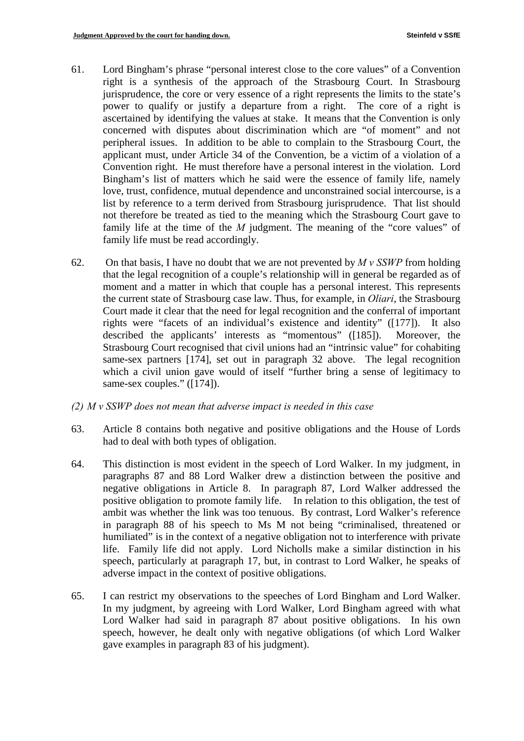- 61. Lord Bingham's phrase "personal interest close to the core values" of a Convention right is a synthesis of the approach of the Strasbourg Court. In Strasbourg jurisprudence, the core or very essence of a right represents the limits to the state's power to qualify or justify a departure from a right. The core of a right is ascertained by identifying the values at stake. It means that the Convention is only concerned with disputes about discrimination which are "of moment" and not peripheral issues. In addition to be able to complain to the Strasbourg Court, the applicant must, under Article 34 of the Convention, be a victim of a violation of a Convention right. He must therefore have a personal interest in the violation. Lord Bingham's list of matters which he said were the essence of family life, namely love, trust, confidence, mutual dependence and unconstrained social intercourse, is a list by reference to a term derived from Strasbourg jurisprudence. That list should not therefore be treated as tied to the meaning which the Strasbourg Court gave to family life at the time of the *M* judgment. The meaning of the "core values" of family life must be read accordingly.
- 62. On that basis, I have no doubt that we are not prevented by  $M v$  SSWP from holding that the legal recognition of a couple's relationship will in general be regarded as of moment and a matter in which that couple has a personal interest. This represents the current state of Strasbourg case law. Thus, for example, in *Oliari*, the Strasbourg Court made it clear that the need for legal recognition and the conferral of important rights were "facets of an individual's existence and identity" ([177]). It also described the applicants' interests as "momentous" ([185]). Moreover, the Strasbourg Court recognised that civil unions had an "intrinsic value" for cohabiting same-sex partners [174], set out in paragraph 32 above. The legal recognition which a civil union gave would of itself "further bring a sense of legitimacy to same-sex couples." ([174]).
- *(2) M v SSWP does not mean that adverse impact is needed in this case*
- 63. Article 8 contains both negative and positive obligations and the House of Lords had to deal with both types of obligation.
- 64. This distinction is most evident in the speech of Lord Walker. In my judgment, in paragraphs 87 and 88 Lord Walker drew a distinction between the positive and negative obligations in Article 8. In paragraph 87, Lord Walker addressed the positive obligation to promote family life. In relation to this obligation, the test of ambit was whether the link was too tenuous. By contrast, Lord Walker's reference in paragraph 88 of his speech to Ms M not being "criminalised, threatened or humiliated" is in the context of a negative obligation not to interference with private life. Family life did not apply. Lord Nicholls make a similar distinction in his speech, particularly at paragraph 17, but, in contrast to Lord Walker, he speaks of adverse impact in the context of positive obligations.
- 65. I can restrict my observations to the speeches of Lord Bingham and Lord Walker. In my judgment, by agreeing with Lord Walker, Lord Bingham agreed with what Lord Walker had said in paragraph 87 about positive obligations. In his own speech, however, he dealt only with negative obligations (of which Lord Walker gave examples in paragraph 83 of his judgment).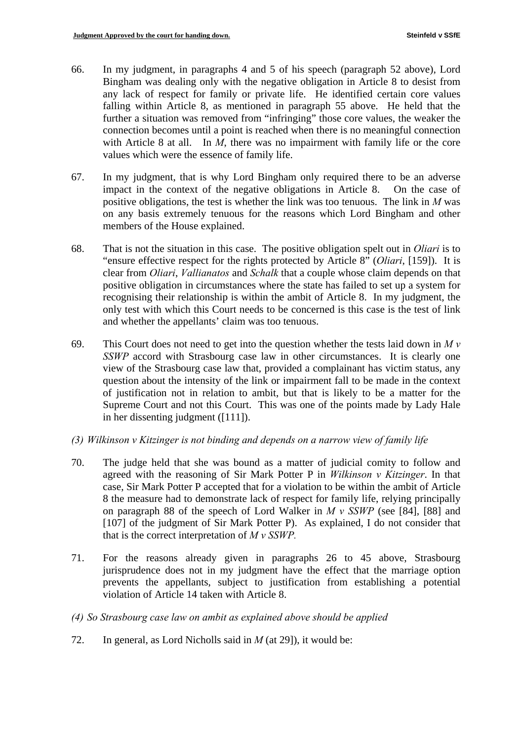- 66. In my judgment, in paragraphs 4 and 5 of his speech (paragraph 52 above), Lord Bingham was dealing only with the negative obligation in Article 8 to desist from any lack of respect for family or private life. He identified certain core values falling within Article 8, as mentioned in paragraph 55 above. He held that the further a situation was removed from "infringing" those core values, the weaker the connection becomes until a point is reached when there is no meaningful connection with Article 8 at all. In *M*, there was no impairment with family life or the core values which were the essence of family life.
- 67. In my judgment, that is why Lord Bingham only required there to be an adverse impact in the context of the negative obligations in Article 8. On the case of positive obligations, the test is whether the link was too tenuous. The link in *M* was on any basis extremely tenuous for the reasons which Lord Bingham and other members of the House explained.
- 68. That is not the situation in this case. The positive obligation spelt out in *Oliari* is to "ensure effective respect for the rights protected by Article 8" (*Oliari*, [159]). It is clear from *Oliari*, *Vallianatos* and *Schalk* that a couple whose claim depends on that positive obligation in circumstances where the state has failed to set up a system for recognising their relationship is within the ambit of Article 8. In my judgment, the only test with which this Court needs to be concerned is this case is the test of link and whether the appellants' claim was too tenuous.
- 69. This Court does not need to get into the question whether the tests laid down in  $M v$ *SSWP* accord with Strasbourg case law in other circumstances. It is clearly one view of the Strasbourg case law that, provided a complainant has victim status, any question about the intensity of the link or impairment fall to be made in the context of justification not in relation to ambit, but that is likely to be a matter for the Supreme Court and not this Court. This was one of the points made by Lady Hale in her dissenting judgment ([111]).
- *(3) Wilkinson v Kitzinger is not binding and depends on a narrow view of family life*
- 70. The judge held that she was bound as a matter of judicial comity to follow and agreed with the reasoning of Sir Mark Potter P in *Wilkinson v Kitzinger*. In that case, Sir Mark Potter P accepted that for a violation to be within the ambit of Article 8 the measure had to demonstrate lack of respect for family life, relying principally on paragraph 88 of the speech of Lord Walker in *M v SSWP* (see [84], [88] and [107] of the judgment of Sir Mark Potter P). As explained, I do not consider that that is the correct interpretation of *M v SSWP.*
- 71. For the reasons already given in paragraphs 26 to 45 above, Strasbourg jurisprudence does not in my judgment have the effect that the marriage option prevents the appellants, subject to justification from establishing a potential violation of Article 14 taken with Article 8.
- *(4) So Strasbourg case law on ambit as explained above should be applied*
- 72. In general, as Lord Nicholls said in *M* (at 29), it would be: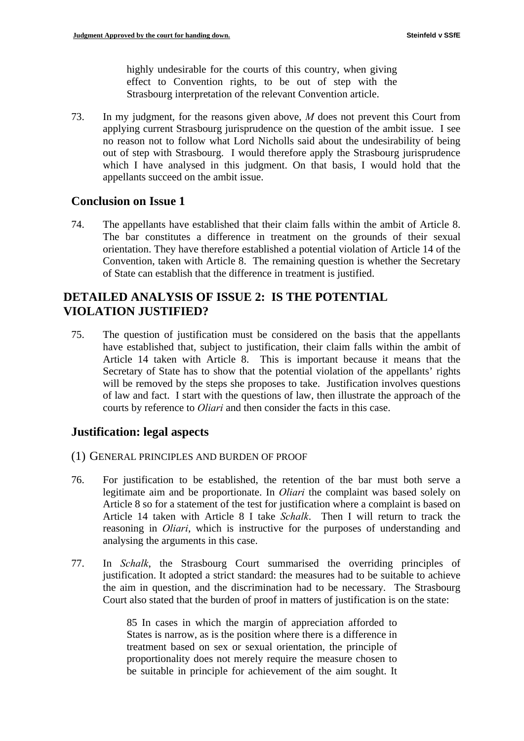highly undesirable for the courts of this country, when giving effect to Convention rights, to be out of step with the Strasbourg interpretation of the relevant Convention article.

73. In my judgment, for the reasons given above, *M* does not prevent this Court from applying current Strasbourg jurisprudence on the question of the ambit issue. I see no reason not to follow what Lord Nicholls said about the undesirability of being out of step with Strasbourg. I would therefore apply the Strasbourg jurisprudence which I have analysed in this judgment. On that basis, I would hold that the appellants succeed on the ambit issue.

### **Conclusion on Issue 1**

74. The appellants have established that their claim falls within the ambit of Article 8. The bar constitutes a difference in treatment on the grounds of their sexual orientation. They have therefore established a potential violation of Article 14 of the Convention, taken with Article 8. The remaining question is whether the Secretary of State can establish that the difference in treatment is justified.

### **DETAILED ANALYSIS OF ISSUE 2: IS THE POTENTIAL VIOLATION JUSTIFIED?**

75. The question of justification must be considered on the basis that the appellants have established that, subject to justification, their claim falls within the ambit of Article 14 taken with Article 8. This is important because it means that the Secretary of State has to show that the potential violation of the appellants' rights will be removed by the steps she proposes to take. Justification involves questions of law and fact. I start with the questions of law, then illustrate the approach of the courts by reference to *Oliari* and then consider the facts in this case.

### **Justification: legal aspects**

#### (1) GENERAL PRINCIPLES AND BURDEN OF PROOF

- 76. For justification to be established, the retention of the bar must both serve a legitimate aim and be proportionate. In *Oliari* the complaint was based solely on Article 8 so for a statement of the test for justification where a complaint is based on Article 14 taken with Article 8 I take *Schalk*. Then I will return to track the reasoning in *Oliari*, which is instructive for the purposes of understanding and analysing the arguments in this case.
- 77. In *Schalk*, the Strasbourg Court summarised the overriding principles of justification. It adopted a strict standard: the measures had to be suitable to achieve the aim in question, and the discrimination had to be necessary. The Strasbourg Court also stated that the burden of proof in matters of justification is on the state:

85 In cases in which the margin of appreciation afforded to States is narrow, as is the position where there is a difference in treatment based on sex or sexual orientation, the principle of proportionality does not merely require the measure chosen to be suitable in principle for achievement of the aim sought. It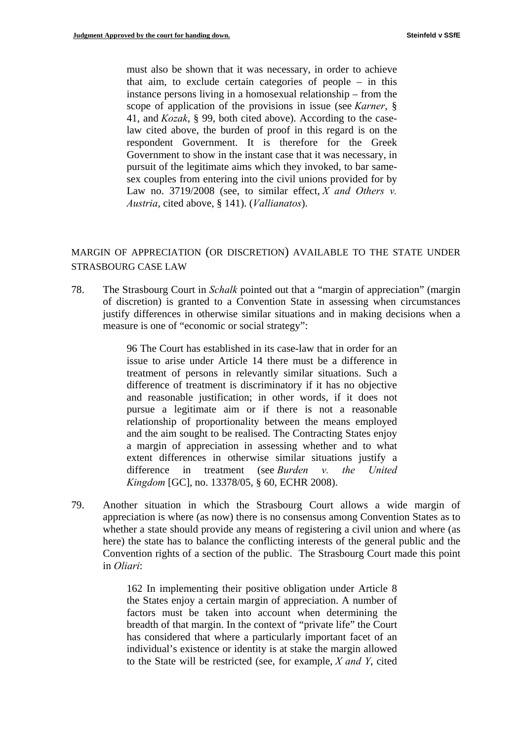must also be shown that it was necessary, in order to achieve that aim, to exclude certain categories of people – in this instance persons living in a homosexual relationship – from the scope of application of the provisions in issue (see *Karner*, § 41, and *Kozak*, § 99, both cited above). According to the caselaw cited above, the burden of proof in this regard is on the respondent Government. It is therefore for the Greek Government to show in the instant case that it was necessary, in pursuit of the legitimate aims which they invoked, to bar samesex couples from entering into the civil unions provided for by Law no. 3719/2008 (see, to similar effect, *X and Others v. Austria*, cited above, § 141). (*Vallianatos*).

### MARGIN OF APPRECIATION (OR DISCRETION) AVAILABLE TO THE STATE UNDER STRASBOURG CASE LAW

78. The Strasbourg Court in *Schalk* pointed out that a "margin of appreciation" (margin of discretion) is granted to a Convention State in assessing when circumstances justify differences in otherwise similar situations and in making decisions when a measure is one of "economic or social strategy":

> 96 The Court has established in its case-law that in order for an issue to arise under Article 14 there must be a difference in treatment of persons in relevantly similar situations. Such a difference of treatment is discriminatory if it has no objective and reasonable justification; in other words, if it does not pursue a legitimate aim or if there is not a reasonable relationship of proportionality between the means employed and the aim sought to be realised. The Contracting States enjoy a margin of appreciation in assessing whether and to what extent differences in otherwise similar situations justify a difference in treatment (see *Burden v. the United Kingdom* [GC], no. 13378/05, § 60, ECHR 2008).

79. Another situation in which the Strasbourg Court allows a wide margin of appreciation is where (as now) there is no consensus among Convention States as to whether a state should provide any means of registering a civil union and where (as here) the state has to balance the conflicting interests of the general public and the Convention rights of a section of the public. The Strasbourg Court made this point in *Oliari*:

> 162 In implementing their positive obligation under Article 8 the States enjoy a certain margin of appreciation. A number of factors must be taken into account when determining the breadth of that margin. In the context of "private life" the Court has considered that where a particularly important facet of an individual's existence or identity is at stake the margin allowed to the State will be restricted (see, for example, *X and Y*, cited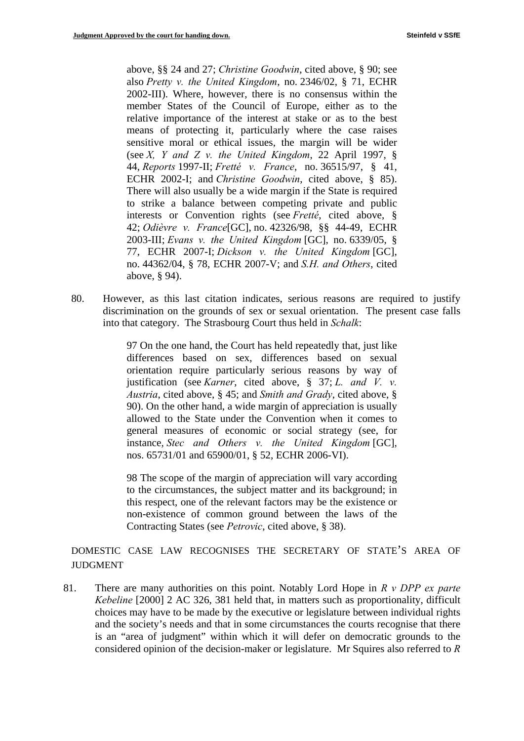above, §§ 24 and 27; *Christine Goodwin*, cited above, § 90; see also *Pretty v. the United Kingdom*, no. 2346/02, § 71, ECHR 2002-III). Where, however, there is no consensus within the member States of the Council of Europe, either as to the relative importance of the interest at stake or as to the best means of protecting it, particularly where the case raises sensitive moral or ethical issues, the margin will be wider (see *X, Y and Z v. the United Kingdom*, 22 April 1997, § 44, *Reports* 1997-II; *Fretté v. France*, no. 36515/97, § 41, ECHR 2002-I; and *Christine Goodwin*, cited above, § 85). There will also usually be a wide margin if the State is required to strike a balance between competing private and public interests or Convention rights (see *Fretté*, cited above, § 42; *Odièvre v. France*[GC], no. 42326/98, §§ 44-49, ECHR 2003-III; *Evans v. the United Kingdom* [GC], no. 6339/05, § 77, ECHR 2007-I; *Dickson v. the United Kingdom* [GC], no. 44362/04, § 78, ECHR 2007-V; and *S.H. and Others*, cited above, § 94).

80. However, as this last citation indicates, serious reasons are required to justify discrimination on the grounds of sex or sexual orientation. The present case falls into that category. The Strasbourg Court thus held in *Schalk*:

> 97 On the one hand, the Court has held repeatedly that, just like differences based on sex, differences based on sexual orientation require particularly serious reasons by way of justification (see *Karner*, cited above, § 37; *L. and V. v. Austria*, cited above, § 45; and *Smith and Grady*, cited above, § 90). On the other hand, a wide margin of appreciation is usually allowed to the State under the Convention when it comes to general measures of economic or social strategy (see, for instance, *Stec and Others v. the United Kingdom* [GC], nos. 65731/01 and 65900/01, § 52, ECHR 2006-VI).

> 98 The scope of the margin of appreciation will vary according to the circumstances, the subject matter and its background; in this respect, one of the relevant factors may be the existence or non-existence of common ground between the laws of the Contracting States (see *Petrovic*, cited above, § 38).

DOMESTIC CASE LAW RECOGNISES THE SECRETARY OF STATE'S AREA OF JUDGMENT

81. There are many authorities on this point. Notably Lord Hope in *R v DPP ex parte Kebeline* [2000] 2 AC 326, 381 held that, in matters such as proportionality, difficult choices may have to be made by the executive or legislature between individual rights and the society's needs and that in some circumstances the courts recognise that there is an "area of judgment" within which it will defer on democratic grounds to the considered opinion of the decision-maker or legislature. Mr Squires also referred to *R*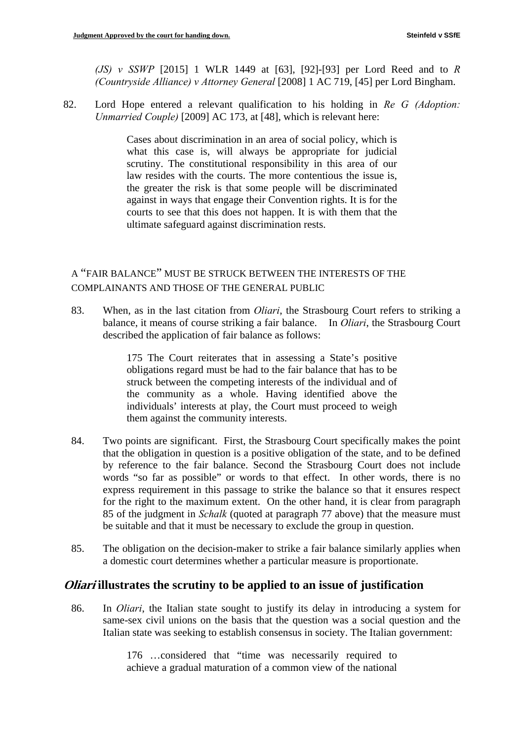(Countryside Alliance) v Attorney General [2008] 1 AC 719, [45] per Lord Bingham. *(JS) v SSWP* [2015] 1 WLR 1449 at [63], [92]-[93] per Lord Reed and to *R* 

*(Countryside Alliance) v Attorney General* [2008] 1 AC 719, [45] per Lord Bingham. 82. Lord Hope entered a relevant qualification to his holding in *Re G (Adoption: Unmarried Couple)* [2009] AC 173, at [48], which is relevant here:

> Cases about discrimination in an area of social policy, which is what this case is, will always be appropriate for judicial scrutiny. The constitutional responsibility in this area of our law resides with the courts. The more contentious the issue is, the greater the risk is that some people will be discriminated against in ways that engage their Convention rights. It is for the courts to see that this does not happen. It is with them that the ultimate safeguard against discrimination rests.

### A "FAIR BALANCE" MUST BE STRUCK BETWEEN THE INTERESTS OF THE COMPLAINANTS AND THOSE OF THE GENERAL PUBLIC

 balance, it means of course striking a fair balance. In *Oliari*, the Strasbourg Court 83. When, as in the last citation from *Oliari*, the Strasbourg Court refers to striking a described the application of fair balance as follows:

> 175 The Court reiterates that in assessing a State's positive obligations regard must be had to the fair balance that has to be struck between the competing interests of the individual and of the community as a whole. Having identified above the individuals' interests at play, the Court must proceed to weigh them against the community interests.

- 84. Two points are significant. First, the Strasbourg Court specifically makes the point that the obligation in question is a positive obligation of the state, and to be defined by reference to the fair balance. Second the Strasbourg Court does not include words "so far as possible" or words to that effect. In other words, there is no express requirement in this passage to strike the balance so that it ensures respect for the right to the maximum extent. On the other hand, it is clear from paragraph 85 of the judgment in *Schalk* (quoted at paragraph 77 above) that the measure must be suitable and that it must be necessary to exclude the group in question.
- 85. The obligation on the decision-maker to strike a fair balance similarly applies when a domestic court determines whether a particular measure is proportionate.

### **Oliari illustrates the scrutiny to be applied to an issue of justification**

86. In *Oliari*, the Italian state sought to justify its delay in introducing a system for same-sex civil unions on the basis that the question was a social question and the Italian state was seeking to establish consensus in society. The Italian government:

> 176 …considered that "time was necessarily required to achieve a gradual maturation of a common view of the national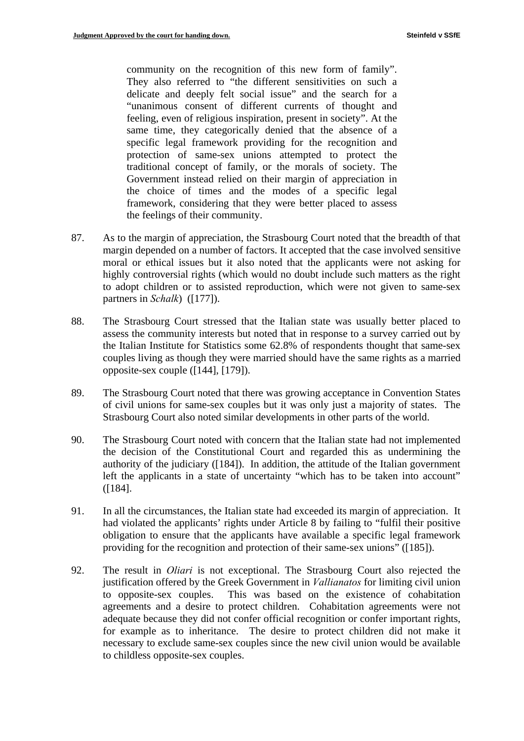community on the recognition of this new form of family". They also referred to "the different sensitivities on such a delicate and deeply felt social issue" and the search for a "unanimous consent of different currents of thought and feeling, even of religious inspiration, present in society". At the same time, they categorically denied that the absence of a specific legal framework providing for the recognition and protection of same-sex unions attempted to protect the traditional concept of family, or the morals of society. The Government instead relied on their margin of appreciation in the choice of times and the modes of a specific legal framework, considering that they were better placed to assess the feelings of their community.

- 87. As to the margin of appreciation, the Strasbourg Court noted that the breadth of that margin depended on a number of factors. It accepted that the case involved sensitive moral or ethical issues but it also noted that the applicants were not asking for highly controversial rights (which would no doubt include such matters as the right to adopt children or to assisted reproduction, which were not given to same-sex partners in *Schalk*) ([177]).
- 88. The Strasbourg Court stressed that the Italian state was usually better placed to assess the community interests but noted that in response to a survey carried out by the Italian Institute for Statistics some 62.8% of respondents thought that same-sex couples living as though they were married should have the same rights as a married opposite-sex couple ([144], [179]).
- 89. The Strasbourg Court noted that there was growing acceptance in Convention States of civil unions for same-sex couples but it was only just a majority of states. The Strasbourg Court also noted similar developments in other parts of the world.
- 90. The Strasbourg Court noted with concern that the Italian state had not implemented the decision of the Constitutional Court and regarded this as undermining the authority of the judiciary ([184]). In addition, the attitude of the Italian government left the applicants in a state of uncertainty "which has to be taken into account" ([184].
- 91. In all the circumstances, the Italian state had exceeded its margin of appreciation. It had violated the applicants' rights under Article 8 by failing to "fulfil their positive obligation to ensure that the applicants have available a specific legal framework providing for the recognition and protection of their same-sex unions" ([185]).
- 92. The result in *Oliari* is not exceptional. The Strasbourg Court also rejected the justification offered by the Greek Government in *Vallianatos* for limiting civil union to opposite-sex couples. This was based on the existence of cohabitation agreements and a desire to protect children. Cohabitation agreements were not adequate because they did not confer official recognition or confer important rights, for example as to inheritance. The desire to protect children did not make it necessary to exclude same-sex couples since the new civil union would be available to childless opposite-sex couples.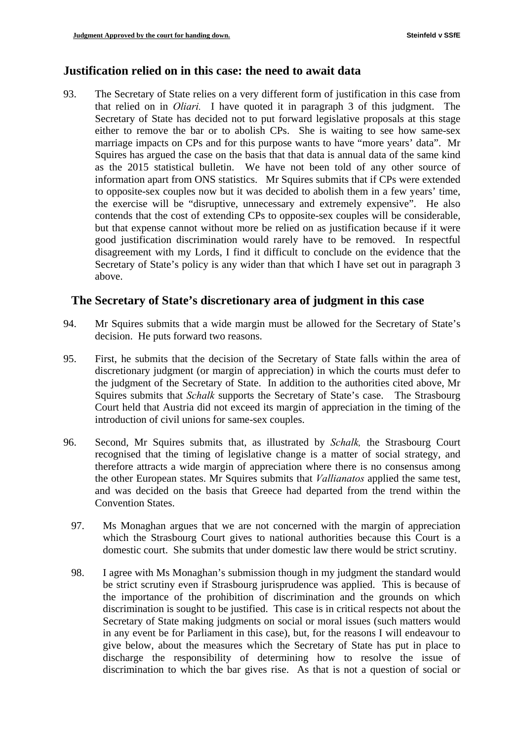### **Justification relied on in this case: the need to await data**

93. The Secretary of State relies on a very different form of justification in this case from that relied on in *Oliari.* I have quoted it in paragraph 3 of this judgment. The Secretary of State has decided not to put forward legislative proposals at this stage either to remove the bar or to abolish CPs. She is waiting to see how same-sex marriage impacts on CPs and for this purpose wants to have "more years' data". Mr Squires has argued the case on the basis that that data is annual data of the same kind as the 2015 statistical bulletin. We have not been told of any other source of information apart from ONS statistics. Mr Squires submits that if CPs were extended to opposite-sex couples now but it was decided to abolish them in a few years' time, the exercise will be "disruptive, unnecessary and extremely expensive". He also contends that the cost of extending CPs to opposite-sex couples will be considerable, but that expense cannot without more be relied on as justification because if it were good justification discrimination would rarely have to be removed. In respectful disagreement with my Lords, I find it difficult to conclude on the evidence that the Secretary of State's policy is any wider than that which I have set out in paragraph 3 above.

### **The Secretary of State's discretionary area of judgment in this case**

- 94. Mr Squires submits that a wide margin must be allowed for the Secretary of State's decision. He puts forward two reasons.
- 95. First, he submits that the decision of the Secretary of State falls within the area of discretionary judgment (or margin of appreciation) in which the courts must defer to the judgment of the Secretary of State. In addition to the authorities cited above, Mr Squires submits that *Schalk* supports the Secretary of State's case. The Strasbourg Court held that Austria did not exceed its margin of appreciation in the timing of the introduction of civil unions for same-sex couples.
- 96. Second, Mr Squires submits that, as illustrated by *Schalk,* the Strasbourg Court recognised that the timing of legislative change is a matter of social strategy, and therefore attracts a wide margin of appreciation where there is no consensus among the other European states. Mr Squires submits that *Vallianatos* applied the same test, and was decided on the basis that Greece had departed from the trend within the Convention States.
	- 97. Ms Monaghan argues that we are not concerned with the margin of appreciation which the Strasbourg Court gives to national authorities because this Court is a domestic court. She submits that under domestic law there would be strict scrutiny.
	- 98. I agree with Ms Monaghan's submission though in my judgment the standard would be strict scrutiny even if Strasbourg jurisprudence was applied. This is because of the importance of the prohibition of discrimination and the grounds on which discrimination is sought to be justified. This case is in critical respects not about the Secretary of State making judgments on social or moral issues (such matters would in any event be for Parliament in this case), but, for the reasons I will endeavour to give below, about the measures which the Secretary of State has put in place to discharge the responsibility of determining how to resolve the issue of discrimination to which the bar gives rise. As that is not a question of social or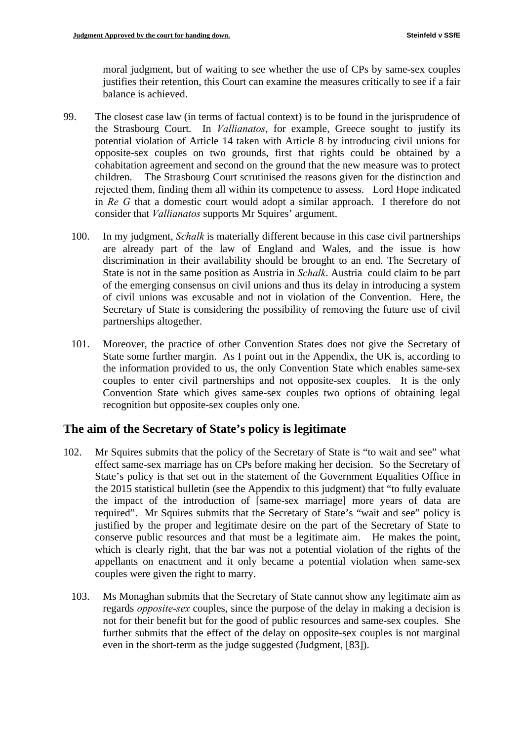moral judgment, but of waiting to see whether the use of CPs by same-sex couples justifies their retention, this Court can examine the measures critically to see if a fair balance is achieved.

- 99. The closest case law (in terms of factual context) is to be found in the jurisprudence of the Strasbourg Court. In *Vallianatos*, for example, Greece sought to justify its potential violation of Article 14 taken with Article 8 by introducing civil unions for opposite-sex couples on two grounds, first that rights could be obtained by a cohabitation agreement and second on the ground that the new measure was to protect children. The Strasbourg Court scrutinised the reasons given for the distinction and rejected them, finding them all within its competence to assess. Lord Hope indicated in *Re G* that a domestic court would adopt a similar approach. I therefore do not consider that *Vallianatos* supports Mr Squires' argument.
	- 100. In my judgment, *Schalk* is materially different because in this case civil partnerships are already part of the law of England and Wales, and the issue is how discrimination in their availability should be brought to an end. The Secretary of State is not in the same position as Austria in *Schalk*. Austria could claim to be part of the emerging consensus on civil unions and thus its delay in introducing a system of civil unions was excusable and not in violation of the Convention. Here, the Secretary of State is considering the possibility of removing the future use of civil partnerships altogether.
	- 101. Moreover, the practice of other Convention States does not give the Secretary of State some further margin. As I point out in the Appendix, the UK is, according to the information provided to us, the only Convention State which enables same-sex couples to enter civil partnerships and not opposite-sex couples. It is the only Convention State which gives same-sex couples two options of obtaining legal recognition but opposite-sex couples only one.

### **The aim of the Secretary of State's policy is legitimate**

- 102. Mr Squires submits that the policy of the Secretary of State is "to wait and see" what effect same-sex marriage has on CPs before making her decision. So the Secretary of State's policy is that set out in the statement of the Government Equalities Office in the 2015 statistical bulletin (see the Appendix to this judgment) that "to fully evaluate the impact of the introduction of [same-sex marriage] more years of data are required". Mr Squires submits that the Secretary of State's "wait and see" policy is justified by the proper and legitimate desire on the part of the Secretary of State to conserve public resources and that must be a legitimate aim. He makes the point, which is clearly right, that the bar was not a potential violation of the rights of the appellants on enactment and it only became a potential violation when same-sex couples were given the right to marry.
	- even in the short-term as the judge suggested (Judgment, [83]). 103. Ms Monaghan submits that the Secretary of State cannot show any legitimate aim as regards *opposite-sex* couples, since the purpose of the delay in making a decision is not for their benefit but for the good of public resources and same-sex couples. She further submits that the effect of the delay on opposite-sex couples is not marginal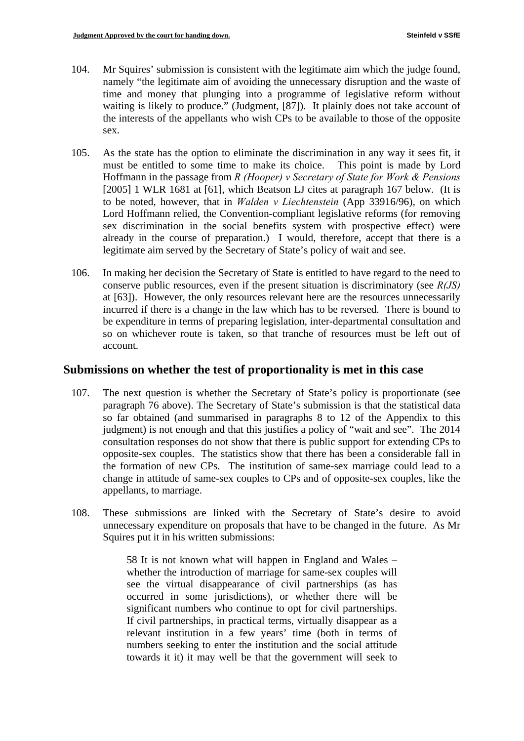- 104. Mr Squires' submission is consistent with the legitimate aim which the judge found, namely "the legitimate aim of avoiding the unnecessary disruption and the waste of time and money that plunging into a programme of legislative reform without waiting is likely to produce." (Judgment, [87]). It plainly does not take account of the interests of the appellants who wish CPs to be available to those of the opposite sex.
- 105. As the state has the option to eliminate the discrimination in any way it sees fit, it must be entitled to some time to make its choice. This point is made by Lord Hoffmann in the passage from *R (Hooper) v Secretary of State for Work & Pensions*  [2005] 1 WLR 1681 at [61], which Beatson LJ cites at paragraph 167 below. (It is to be noted, however, that in *Walden v Liechtenstein* (App 33916/96), on which Lord Hoffmann relied, the Convention-compliant legislative reforms (for removing sex discrimination in the social benefits system with prospective effect) were already in the course of preparation.) I would, therefore, accept that there is a legitimate aim served by the Secretary of State's policy of wait and see.
- 106. In making her decision the Secretary of State is entitled to have regard to the need to conserve public resources, even if the present situation is discriminatory (see *R(JS)*  at [63]). However, the only resources relevant here are the resources unnecessarily incurred if there is a change in the law which has to be reversed. There is bound to be expenditure in terms of preparing legislation, inter-departmental consultation and so on whichever route is taken, so that tranche of resources must be left out of account.

#### **Submissions on whether the test of proportionality is met in this case**

- 107. The next question is whether the Secretary of State's policy is proportionate (see paragraph 76 above). The Secretary of State's submission is that the statistical data so far obtained (and summarised in paragraphs 8 to 12 of the Appendix to this judgment) is not enough and that this justifies a policy of "wait and see". The 2014 consultation responses do not show that there is public support for extending CPs to opposite-sex couples. The statistics show that there has been a considerable fall in the formation of new CPs. The institution of same-sex marriage could lead to a change in attitude of same-sex couples to CPs and of opposite-sex couples, like the appellants, to marriage.
- 108. These submissions are linked with the Secretary of State's desire to avoid unnecessary expenditure on proposals that have to be changed in the future. As Mr Squires put it in his written submissions:

58 It is not known what will happen in England and Wales – whether the introduction of marriage for same-sex couples will see the virtual disappearance of civil partnerships (as has occurred in some jurisdictions), or whether there will be significant numbers who continue to opt for civil partnerships. If civil partnerships, in practical terms, virtually disappear as a relevant institution in a few years' time (both in terms of numbers seeking to enter the institution and the social attitude towards it it) it may well be that the government will seek to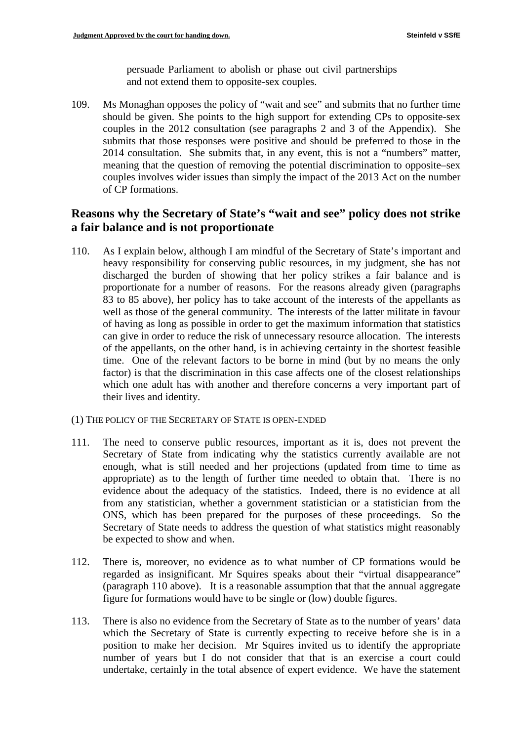persuade Parliament to abolish or phase out civil partnerships and not extend them to opposite-sex couples.

109. Ms Monaghan opposes the policy of "wait and see" and submits that no further time should be given. She points to the high support for extending CPs to opposite-sex couples in the 2012 consultation (see paragraphs 2 and 3 of the Appendix). She submits that those responses were positive and should be preferred to those in the 2014 consultation. She submits that, in any event, this is not a "numbers" matter, meaning that the question of removing the potential discrimination to opposite–sex couples involves wider issues than simply the impact of the 2013 Act on the number of CP formations.

### **Reasons why the Secretary of State's "wait and see" policy does not strike a fair balance and is not proportionate**

- 110. As I explain below, although I am mindful of the Secretary of State's important and heavy responsibility for conserving public resources, in my judgment, she has not discharged the burden of showing that her policy strikes a fair balance and is proportionate for a number of reasons. For the reasons already given (paragraphs 83 to 85 above), her policy has to take account of the interests of the appellants as well as those of the general community. The interests of the latter militate in favour of having as long as possible in order to get the maximum information that statistics can give in order to reduce the risk of unnecessary resource allocation. The interests of the appellants, on the other hand, is in achieving certainty in the shortest feasible time. One of the relevant factors to be borne in mind (but by no means the only factor) is that the discrimination in this case affects one of the closest relationships which one adult has with another and therefore concerns a very important part of their lives and identity.
- (1) THE POLICY OF THE SECRETARY OF STATE IS OPEN-ENDED
- 111. The need to conserve public resources, important as it is, does not prevent the Secretary of State from indicating why the statistics currently available are not enough, what is still needed and her projections (updated from time to time as appropriate) as to the length of further time needed to obtain that. There is no evidence about the adequacy of the statistics. Indeed, there is no evidence at all from any statistician, whether a government statistician or a statistician from the ONS, which has been prepared for the purposes of these proceedings. So the Secretary of State needs to address the question of what statistics might reasonably be expected to show and when.
- 112. There is, moreover, no evidence as to what number of CP formations would be regarded as insignificant. Mr Squires speaks about their "virtual disappearance" (paragraph 110 above). It is a reasonable assumption that that the annual aggregate figure for formations would have to be single or (low) double figures.
- 113. There is also no evidence from the Secretary of State as to the number of years' data which the Secretary of State is currently expecting to receive before she is in a position to make her decision. Mr Squires invited us to identify the appropriate number of years but I do not consider that that is an exercise a court could undertake, certainly in the total absence of expert evidence. We have the statement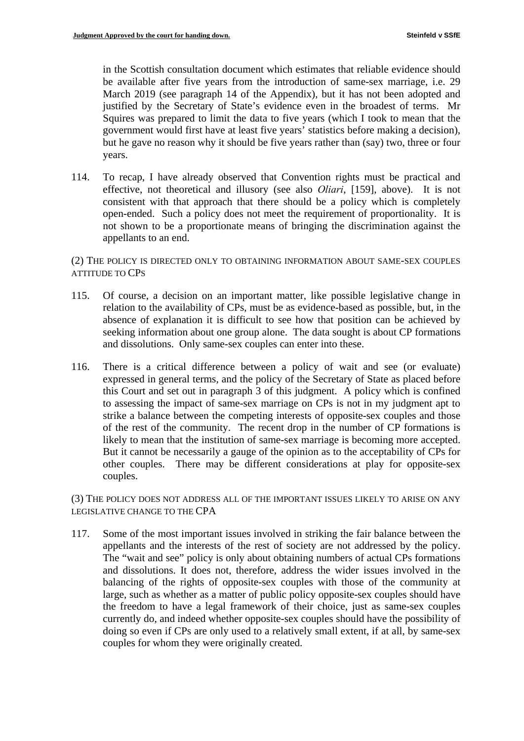in the Scottish consultation document which estimates that reliable evidence should be available after five years from the introduction of same-sex marriage, i.e. 29 March 2019 (see paragraph 14 of the Appendix), but it has not been adopted and justified by the Secretary of State's evidence even in the broadest of terms. Mr Squires was prepared to limit the data to five years (which I took to mean that the government would first have at least five years' statistics before making a decision), but he gave no reason why it should be five years rather than (say) two, three or four years.

114. To recap, I have already observed that Convention rights must be practical and effective, not theoretical and illusory (see also *Oliari*, [159], above). It is not consistent with that approach that there should be a policy which is completely open-ended. Such a policy does not meet the requirement of proportionality. It is not shown to be a proportionate means of bringing the discrimination against the appellants to an end.

(2) THE POLICY IS DIRECTED ONLY TO OBTAINING INFORMATION ABOUT SAME-SEX COUPLES ATTITUDE TO CPS

- 115. Of course, a decision on an important matter, like possible legislative change in relation to the availability of CPs, must be as evidence-based as possible, but, in the absence of explanation it is difficult to see how that position can be achieved by seeking information about one group alone. The data sought is about CP formations and dissolutions. Only same-sex couples can enter into these.
- likely to mean that the institution of same-sex marriage is becoming more accepted. But it cannot be necessarily a gauge of the opinion as to the acceptability of CPs for 116. There is a critical difference between a policy of wait and see (or evaluate) expressed in general terms, and the policy of the Secretary of State as placed before this Court and set out in paragraph 3 of this judgment. A policy which is confined to assessing the impact of same-sex marriage on CPs is not in my judgment apt to strike a balance between the competing interests of opposite-sex couples and those of the rest of the community. The recent drop in the number of CP formations is other couples. There may be different considerations at play for opposite-sex couples.

(3) THE POLICY DOES NOT ADDRESS ALL OF THE IMPORTANT ISSUES LIKELY TO ARISE ON ANY LEGISLATIVE CHANGE TO THE CPA

117. Some of the most important issues involved in striking the fair balance between the appellants and the interests of the rest of society are not addressed by the policy. The "wait and see" policy is only about obtaining numbers of actual CPs formations and dissolutions. It does not, therefore, address the wider issues involved in the balancing of the rights of opposite-sex couples with those of the community at large, such as whether as a matter of public policy opposite-sex couples should have the freedom to have a legal framework of their choice, just as same-sex couples currently do, and indeed whether opposite-sex couples should have the possibility of doing so even if CPs are only used to a relatively small extent, if at all, by same-sex couples for whom they were originally created.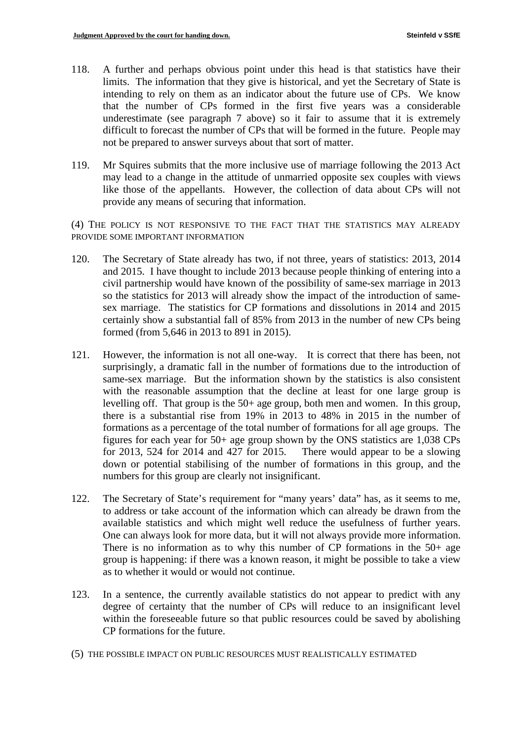- 118. A further and perhaps obvious point under this head is that statistics have their limits. The information that they give is historical, and yet the Secretary of State is intending to rely on them as an indicator about the future use of CPs. We know that the number of CPs formed in the first five years was a considerable underestimate (see paragraph 7 above) so it fair to assume that it is extremely difficult to forecast the number of CPs that will be formed in the future. People may not be prepared to answer surveys about that sort of matter.
- 119. Mr Squires submits that the more inclusive use of marriage following the 2013 Act may lead to a change in the attitude of unmarried opposite sex couples with views like those of the appellants. However, the collection of data about CPs will not provide any means of securing that information.

(4) THE POLICY IS NOT RESPONSIVE TO THE FACT THAT THE STATISTICS MAY ALREADY PROVIDE SOME IMPORTANT INFORMATION

- 120. The Secretary of State already has two, if not three, years of statistics: 2013, 2014 and 2015. I have thought to include 2013 because people thinking of entering into a civil partnership would have known of the possibility of same-sex marriage in 2013 so the statistics for 2013 will already show the impact of the introduction of samesex marriage. The statistics for CP formations and dissolutions in 2014 and 2015 certainly show a substantial fall of 85% from 2013 in the number of new CPs being formed (from 5,646 in 2013 to 891 in 2015).
- for 2013, 524 for 2014 and 427 for 2015. There would appear to be a slowing 121. However, the information is not all one-way. It is correct that there has been, not surprisingly, a dramatic fall in the number of formations due to the introduction of same-sex marriage. But the information shown by the statistics is also consistent with the reasonable assumption that the decline at least for one large group is levelling off. That group is the 50+ age group, both men and women. In this group, there is a substantial rise from 19% in 2013 to 48% in 2015 in the number of formations as a percentage of the total number of formations for all age groups. The figures for each year for 50+ age group shown by the ONS statistics are 1,038 CPs down or potential stabilising of the number of formations in this group, and the numbers for this group are clearly not insignificant.
- 122. The Secretary of State's requirement for "many years' data" has, as it seems to me, to address or take account of the information which can already be drawn from the available statistics and which might well reduce the usefulness of further years. One can always look for more data, but it will not always provide more information. There is no information as to why this number of CP formations in the  $50+$  age group is happening: if there was a known reason, it might be possible to take a view as to whether it would or would not continue.
- 123. In a sentence, the currently available statistics do not appear to predict with any degree of certainty that the number of CPs will reduce to an insignificant level within the foreseeable future so that public resources could be saved by abolishing CP formations for the future.
- (5) THE POSSIBLE IMPACT ON PUBLIC RESOURCES MUST REALISTICALLY ESTIMATED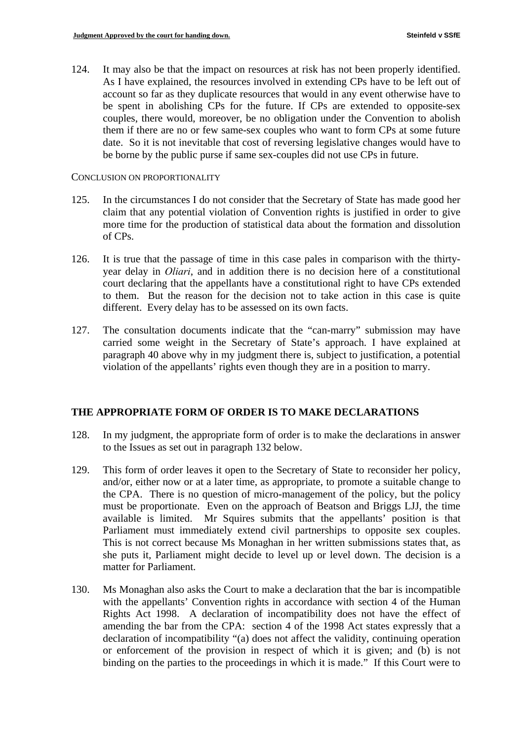124. It may also be that the impact on resources at risk has not been properly identified. As I have explained, the resources involved in extending CPs have to be left out of account so far as they duplicate resources that would in any event otherwise have to be spent in abolishing CPs for the future. If CPs are extended to opposite-sex couples, there would, moreover, be no obligation under the Convention to abolish them if there are no or few same-sex couples who want to form CPs at some future date. So it is not inevitable that cost of reversing legislative changes would have to be borne by the public purse if same sex-couples did not use CPs in future.

#### CONCLUSION ON PROPORTIONALITY

- 125. In the circumstances I do not consider that the Secretary of State has made good her claim that any potential violation of Convention rights is justified in order to give more time for the production of statistical data about the formation and dissolution of CPs.
- 126. It is true that the passage of time in this case pales in comparison with the thirtyyear delay in *Oliari*, and in addition there is no decision here of a constitutional court declaring that the appellants have a constitutional right to have CPs extended to them. But the reason for the decision not to take action in this case is quite different. Every delay has to be assessed on its own facts.
- 127. The consultation documents indicate that the "can-marry" submission may have carried some weight in the Secretary of State's approach. I have explained at paragraph 40 above why in my judgment there is, subject to justification, a potential violation of the appellants' rights even though they are in a position to marry.

#### **THE APPROPRIATE FORM OF ORDER IS TO MAKE DECLARATIONS**

- 128. In my judgment, the appropriate form of order is to make the declarations in answer to the Issues as set out in paragraph 132 below.
- 129. This form of order leaves it open to the Secretary of State to reconsider her policy, and/or, either now or at a later time, as appropriate, to promote a suitable change to the CPA. There is no question of micro-management of the policy, but the policy must be proportionate. Even on the approach of Beatson and Briggs LJJ, the time available is limited. Mr Squires submits that the appellants' position is that Parliament must immediately extend civil partnerships to opposite sex couples. This is not correct because Ms Monaghan in her written submissions states that, as she puts it, Parliament might decide to level up or level down. The decision is a matter for Parliament.
- 130. Ms Monaghan also asks the Court to make a declaration that the bar is incompatible with the appellants' Convention rights in accordance with section 4 of the Human Rights Act 1998. A declaration of incompatibility does not have the effect of amending the bar from the CPA: section 4 of the 1998 Act states expressly that a declaration of incompatibility "(a) does not affect the validity, continuing operation or enforcement of the provision in respect of which it is given; and (b) is not binding on the parties to the proceedings in which it is made." If this Court were to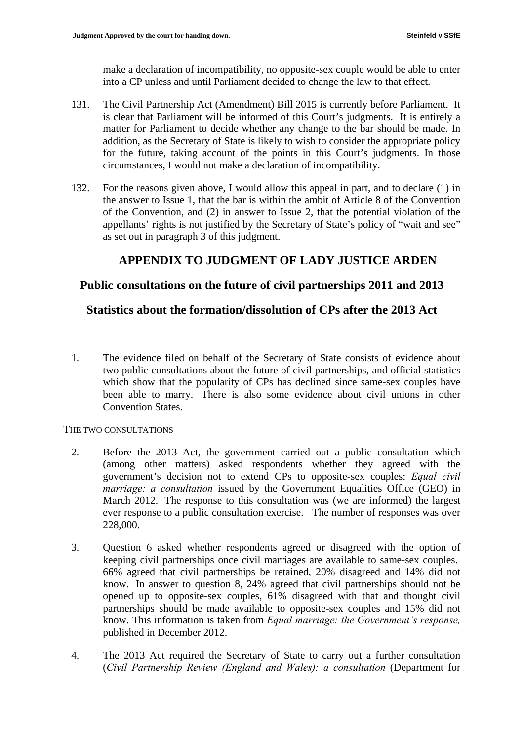make a declaration of incompatibility, no opposite-sex couple would be able to enter into a CP unless and until Parliament decided to change the law to that effect.

- 131. The Civil Partnership Act (Amendment) Bill 2015 is currently before Parliament. It is clear that Parliament will be informed of this Court's judgments. It is entirely a matter for Parliament to decide whether any change to the bar should be made. In addition, as the Secretary of State is likely to wish to consider the appropriate policy for the future, taking account of the points in this Court's judgments. In those circumstances, I would not make a declaration of incompatibility.
- 132. For the reasons given above, I would allow this appeal in part, and to declare (1) in the answer to Issue 1, that the bar is within the ambit of Article 8 of the Convention of the Convention, and (2) in answer to Issue 2, that the potential violation of the appellants' rights is not justified by the Secretary of State's policy of "wait and see" as set out in paragraph 3 of this judgment.

# **APPENDIX TO JUDGMENT OF LADY JUSTICE ARDEN**

### **Public consultations on the future of civil partnerships 2011 and 2013**

### **Statistics about the formation/dissolution of CPs after the 2013 Act**

1. The evidence filed on behalf of the Secretary of State consists of evidence about two public consultations about the future of civil partnerships, and official statistics which show that the popularity of CPs has declined since same-sex couples have been able to marry. There is also some evidence about civil unions in other Convention States.

#### THE TWO CONSULTATIONS

- 2. Before the 2013 Act, the government carried out a public consultation which (among other matters) asked respondents whether they agreed with the government's decision not to extend CPs to opposite-sex couples: *Equal civil marriage: a consultation* issued by the Government Equalities Office (GEO) in March 2012. The response to this consultation was (we are informed) the largest ever response to a public consultation exercise. The number of responses was over 228,000.
- 3. Question 6 asked whether respondents agreed or disagreed with the option of keeping civil partnerships once civil marriages are available to same-sex couples. 66% agreed that civil partnerships be retained, 20% disagreed and 14% did not know. In answer to question 8, 24% agreed that civil partnerships should not be opened up to opposite-sex couples, 61% disagreed with that and thought civil partnerships should be made available to opposite-sex couples and 15% did not know. This information is taken from *Equal marriage: the Government's response,*  published in December 2012.
- 4. The 2013 Act required the Secretary of State to carry out a further consultation (*Civil Partnership Review (England and Wales): a consultation* (Department for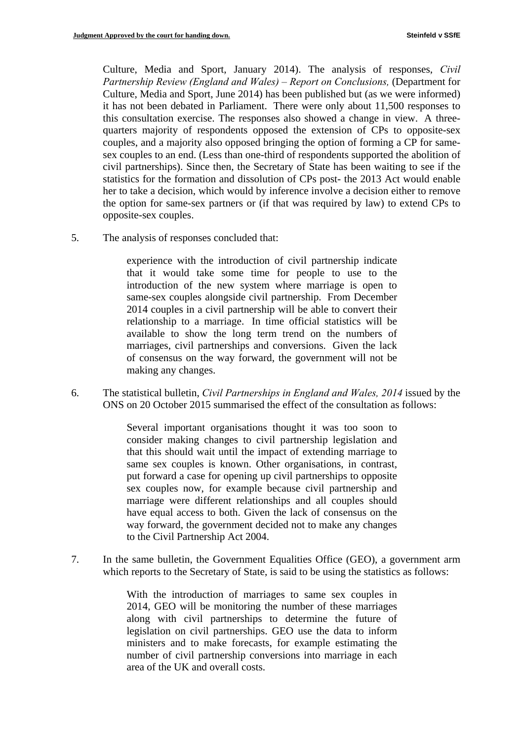Culture, Media and Sport, January 2014). The analysis of responses, *Civil Partnership Review (England and Wales) – Report on Conclusions, (Department for* Culture, Media and Sport, June 2014) has been published but (as we were informed) it has not been debated in Parliament. There were only about 11,500 responses to this consultation exercise. The responses also showed a change in view. A threequarters majority of respondents opposed the extension of CPs to opposite-sex couples, and a majority also opposed bringing the option of forming a CP for samesex couples to an end. (Less than one-third of respondents supported the abolition of civil partnerships). Since then, the Secretary of State has been waiting to see if the statistics for the formation and dissolution of CPs post- the 2013 Act would enable her to take a decision, which would by inference involve a decision either to remove the option for same-sex partners or (if that was required by law) to extend CPs to opposite-sex couples.

5. The analysis of responses concluded that:

experience with the introduction of civil partnership indicate that it would take some time for people to use to the introduction of the new system where marriage is open to same-sex couples alongside civil partnership. From December 2014 couples in a civil partnership will be able to convert their relationship to a marriage. In time official statistics will be available to show the long term trend on the numbers of marriages, civil partnerships and conversions. Given the lack of consensus on the way forward, the government will not be making any changes.

6. The statistical bulletin, *Civil Partnerships in England and Wales, 2014* issued by the ONS on 20 October 2015 summarised the effect of the consultation as follows:

> Several important organisations thought it was too soon to consider making changes to civil partnership legislation and that this should wait until the impact of extending marriage to same sex couples is known. Other organisations, in contrast, put forward a case for opening up civil partnerships to opposite sex couples now, for example because civil partnership and marriage were different relationships and all couples should have equal access to both. Given the lack of consensus on the way forward, the government decided not to make any changes to the Civil Partnership Act 2004.

7. In the same bulletin, the Government Equalities Office (GEO), a government arm which reports to the Secretary of State, is said to be using the statistics as follows:

> With the introduction of marriages to same sex couples in 2014, GEO will be monitoring the number of these marriages along with civil partnerships to determine the future of legislation on civil partnerships. GEO use the data to inform ministers and to make forecasts, for example estimating the number of civil partnership conversions into marriage in each area of the UK and overall costs.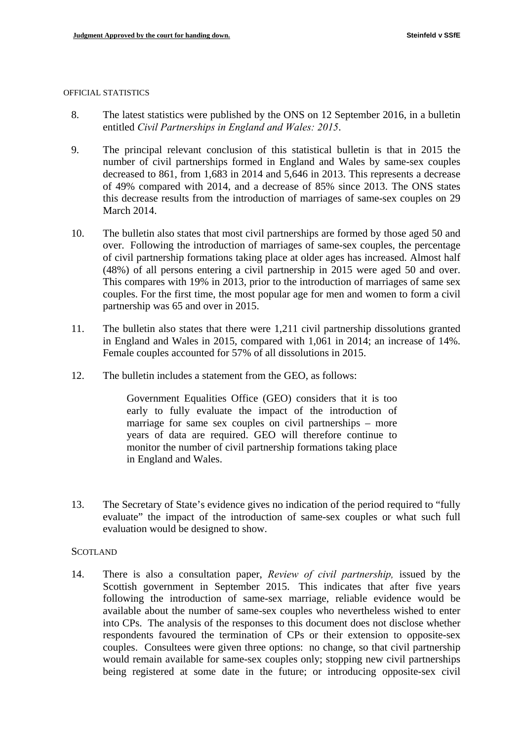#### OFFICIAL STATISTICS

- 8. The latest statistics were published by the ONS on 12 September 2016, in a bulletin entitled *Civil Partnerships in England and Wales: 2015*.
- 9. The principal relevant conclusion of this statistical bulletin is that in 2015 the number of civil partnerships formed in England and Wales by same-sex couples decreased to 861, from 1,683 in 2014 and 5,646 in 2013. This represents a decrease of 49% compared with 2014, and a decrease of 85% since 2013. The ONS states this decrease results from the introduction of marriages of same-sex couples on 29 March 2014.
- 10. The bulletin also states that most civil partnerships are formed by those aged 50 and over. Following the introduction of marriages of same-sex couples, the percentage of civil partnership formations taking place at older ages has increased. Almost half (48%) of all persons entering a civil partnership in 2015 were aged 50 and over. This compares with 19% in 2013, prior to the introduction of marriages of same sex couples. For the first time, the most popular age for men and women to form a civil partnership was 65 and over in 2015.
- 11. The bulletin also states that there were 1,211 civil partnership dissolutions granted in England and Wales in 2015, compared with 1,061 in 2014; an increase of 14%. Female couples accounted for 57% of all dissolutions in 2015.
- 12. The bulletin includes a statement from the GEO, as follows:

Government Equalities Office (GEO) considers that it is too early to fully evaluate the impact of the introduction of marriage for same sex couples on civil partnerships – more years of data are required. GEO will therefore continue to monitor the number of civil partnership formations taking place in England and Wales.

13. The Secretary of State's evidence gives no indication of the period required to "fully" evaluate" the impact of the introduction of same-sex couples or what such full evaluation would be designed to show.

#### SCOTLAND

14. There is also a consultation paper, *Review of civil partnership,* issued by the Scottish government in September 2015. This indicates that after five years following the introduction of same-sex marriage, reliable evidence would be available about the number of same-sex couples who nevertheless wished to enter into CPs. The analysis of the responses to this document does not disclose whether respondents favoured the termination of CPs or their extension to opposite-sex couples. Consultees were given three options: no change, so that civil partnership would remain available for same-sex couples only; stopping new civil partnerships being registered at some date in the future; or introducing opposite-sex civil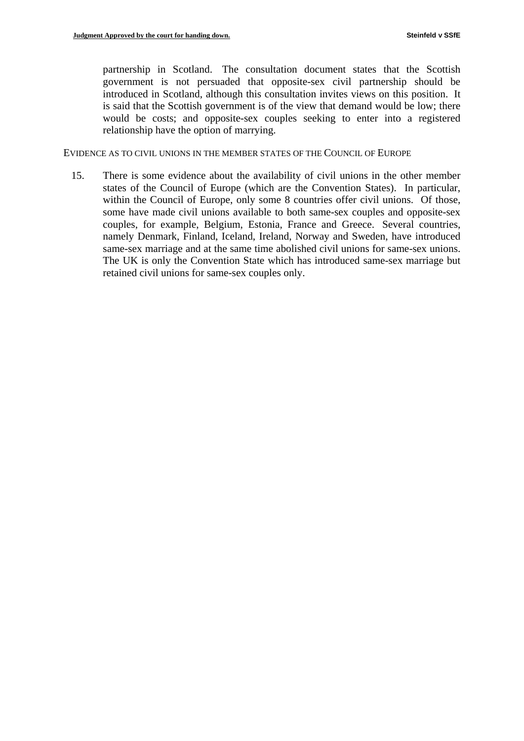partnership in Scotland. The consultation document states that the Scottish government is not persuaded that opposite-sex civil partnership should be introduced in Scotland, although this consultation invites views on this position. It is said that the Scottish government is of the view that demand would be low; there would be costs; and opposite-sex couples seeking to enter into a registered relationship have the option of marrying.

EVIDENCE AS TO CIVIL UNIONS IN THE MEMBER STATES OF THE COUNCIL OF EUROPE

15. There is some evidence about the availability of civil unions in the other member states of the Council of Europe (which are the Convention States). In particular, within the Council of Europe, only some 8 countries offer civil unions. Of those, some have made civil unions available to both same-sex couples and opposite-sex couples, for example, Belgium, Estonia, France and Greece. Several countries, namely Denmark, Finland, Iceland, Ireland, Norway and Sweden, have introduced same-sex marriage and at the same time abolished civil unions for same-sex unions. The UK is only the Convention State which has introduced same-sex marriage but retained civil unions for same-sex couples only.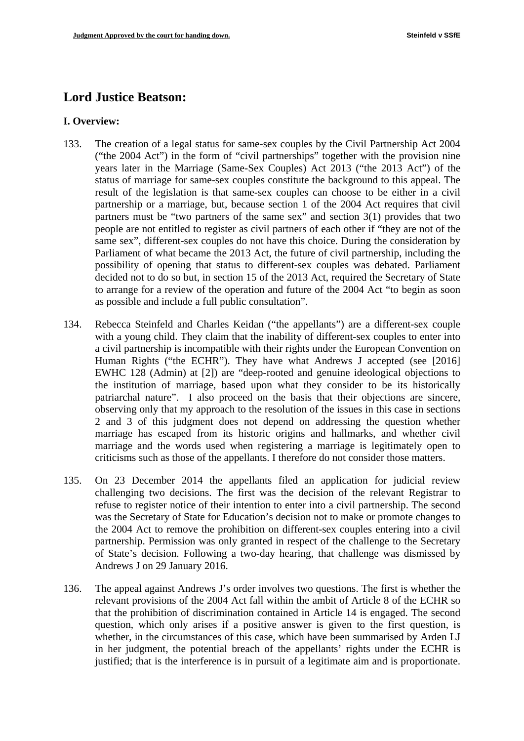# **Lord Justice Beatson:**

#### **I. Overview:**

- 133. The creation of a legal status for same-sex couples by the Civil Partnership Act 2004 ("the 2004 Act") in the form of "civil partnerships" together with the provision nine years later in the Marriage (Same-Sex Couples) Act 2013 ("the 2013 Act") of the status of marriage for same-sex couples constitute the background to this appeal. The result of the legislation is that same-sex couples can choose to be either in a civil partnership or a marriage, but, because section 1 of the 2004 Act requires that civil partners must be "two partners of the same sex" and section 3(1) provides that two people are not entitled to register as civil partners of each other if "they are not of the same sex", different-sex couples do not have this choice. During the consideration by Parliament of what became the 2013 Act, the future of civil partnership, including the possibility of opening that status to different-sex couples was debated. Parliament decided not to do so but, in section 15 of the 2013 Act, required the Secretary of State to arrange for a review of the operation and future of the 2004 Act "to begin as soon as possible and include a full public consultation".
- 134. Rebecca Steinfeld and Charles Keidan ("the appellants") are a different-sex couple with a young child. They claim that the inability of different-sex couples to enter into a civil partnership is incompatible with their rights under the European Convention on Human Rights ("the ECHR"). They have what Andrews J accepted (see [2016] EWHC 128 (Admin) at [2]) are "deep-rooted and genuine ideological objections to the institution of marriage, based upon what they consider to be its historically patriarchal nature". I also proceed on the basis that their objections are sincere, observing only that my approach to the resolution of the issues in this case in sections 2 and 3 of this judgment does not depend on addressing the question whether marriage has escaped from its historic origins and hallmarks, and whether civil marriage and the words used when registering a marriage is legitimately open to criticisms such as those of the appellants. I therefore do not consider those matters.
- 135. On 23 December 2014 the appellants filed an application for judicial review challenging two decisions. The first was the decision of the relevant Registrar to refuse to register notice of their intention to enter into a civil partnership. The second was the Secretary of State for Education's decision not to make or promote changes to the 2004 Act to remove the prohibition on different-sex couples entering into a civil partnership. Permission was only granted in respect of the challenge to the Secretary of State's decision. Following a two-day hearing, that challenge was dismissed by Andrews J on 29 January 2016.
- 136. The appeal against Andrews J's order involves two questions. The first is whether the relevant provisions of the 2004 Act fall within the ambit of Article 8 of the ECHR so that the prohibition of discrimination contained in Article 14 is engaged. The second question, which only arises if a positive answer is given to the first question, is whether, in the circumstances of this case, which have been summarised by Arden LJ in her judgment, the potential breach of the appellants' rights under the ECHR is justified; that is the interference is in pursuit of a legitimate aim and is proportionate.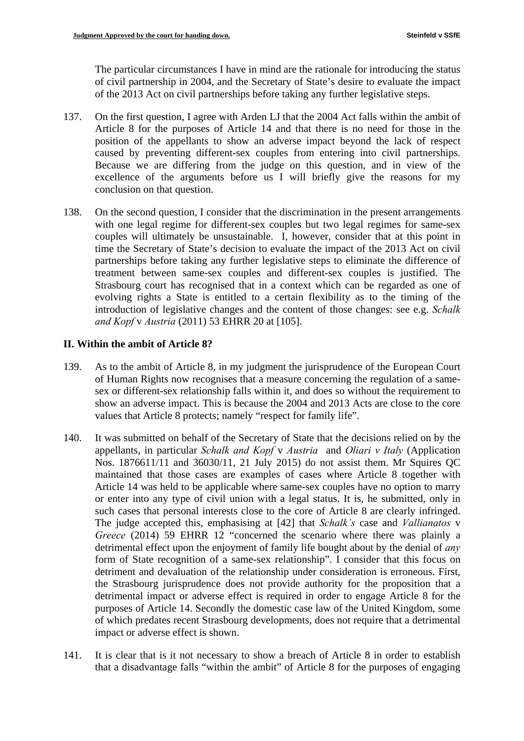The particular circumstances I have in mind are the rationale for introducing the status of civil partnership in 2004, and the Secretary of State's desire to evaluate the impact of the 2013 Act on civil partnerships before taking any further legislative steps.

- 137. On the first question, I agree with Arden LJ that the 2004 Act falls within the ambit of Article 8 for the purposes of Article 14 and that there is no need for those in the position of the appellants to show an adverse impact beyond the lack of respect caused by preventing different-sex couples from entering into civil partnerships. Because we are differing from the judge on this question, and in view of the excellence of the arguments before us I will briefly give the reasons for my conclusion on that question.
- 138. On the second question, I consider that the discrimination in the present arrangements with one legal regime for different-sex couples but two legal regimes for same-sex couples will ultimately be unsustainable. I, however, consider that at this point in time the Secretary of State's decision to evaluate the impact of the 2013 Act on civil partnerships before taking any further legislative steps to eliminate the difference of treatment between same-sex couples and different-sex couples is justified. The Strasbourg court has recognised that in a context which can be regarded as one of evolving rights a State is entitled to a certain flexibility as to the timing of the introduction of legislative changes and the content of those changes: see e.g. *Schalk and Kopf* v *Austria* (2011) 53 EHRR 20 at [105].

#### **II. Within the ambit of Article 8?**

- 139. As to the ambit of Article 8, in my judgment the jurisprudence of the European Court of Human Rights now recognises that a measure concerning the regulation of a samesex or different-sex relationship falls within it, and does so without the requirement to show an adverse impact. This is because the 2004 and 2013 Acts are close to the core values that Article 8 protects; namely "respect for family life".
- 140. It was submitted on behalf of the Secretary of State that the decisions relied on by the appellants, in particular *Schalk and Kopf* v *Austria* and *Oliari v Italy* (Application Nos. 1876611/11 and 36030/11, 21 July 2015) do not assist them. Mr Squires QC maintained that those cases are examples of cases where Article 8 together with Article 14 was held to be applicable where same-sex couples have no option to marry or enter into any type of civil union with a legal status. It is, he submitted, only in such cases that personal interests close to the core of Article 8 are clearly infringed. The judge accepted this, emphasising at [42] that *Schalk's* case and *Vallianatos* v *Greece* (2014) 59 EHRR 12 "concerned the scenario where there was plainly a detrimental effect upon the enjoyment of family life bought about by the denial of *any*  form of State recognition of a same-sex relationship". I consider that this focus on detriment and devaluation of the relationship under consideration is erroneous. First, the Strasbourg jurisprudence does not provide authority for the proposition that a detrimental impact or adverse effect is required in order to engage Article 8 for the purposes of Article 14. Secondly the domestic case law of the United Kingdom, some of which predates recent Strasbourg developments, does not require that a detrimental impact or adverse effect is shown.
- 141. It is clear that is it not necessary to show a breach of Article 8 in order to establish that a disadvantage falls "within the ambit" of Article 8 for the purposes of engaging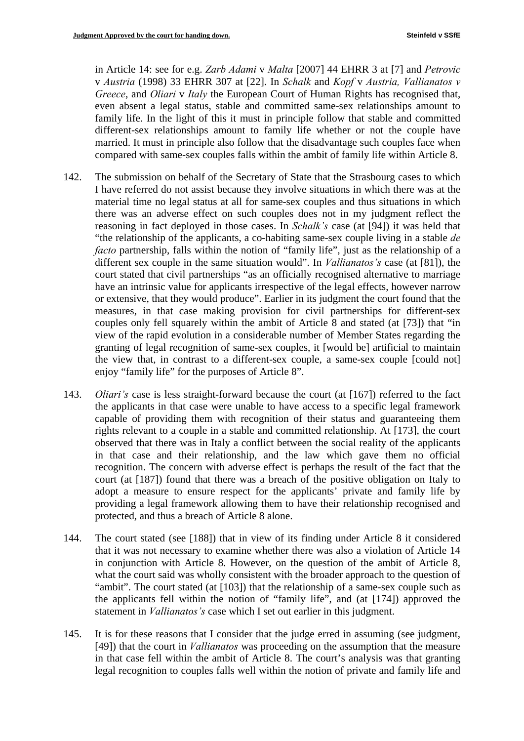in Article 14: see for e.g. *Zarb Adami* v *Malta* [2007] 44 EHRR 3 at [7] and *Petrovic*  v *Austria* (1998) 33 EHRR 307 at [22]. In *Schalk* and *Kopf* v *Austria, Vallianatos v Greece*, and *Oliari* v *Italy* the European Court of Human Rights has recognised that, even absent a legal status, stable and committed same-sex relationships amount to family life. In the light of this it must in principle follow that stable and committed different-sex relationships amount to family life whether or not the couple have married. It must in principle also follow that the disadvantage such couples face when compared with same-sex couples falls within the ambit of family life within Article 8.

- 142. The submission on behalf of the Secretary of State that the Strasbourg cases to which I have referred do not assist because they involve situations in which there was at the material time no legal status at all for same-sex couples and thus situations in which there was an adverse effect on such couples does not in my judgment reflect the reasoning in fact deployed in those cases. In *Schalk's* case (at [94]) it was held that "the relationship of the applicants, a co-habiting same-sex couple living in a stable *de facto* partnership, falls within the notion of "family life", just as the relationship of a different sex couple in the same situation would". In *Vallianatos's* case (at [81]), the court stated that civil partnerships "as an officially recognised alternative to marriage have an intrinsic value for applicants irrespective of the legal effects, however narrow or extensive, that they would produce". Earlier in its judgment the court found that the measures, in that case making provision for civil partnerships for different-sex couples only fell squarely within the ambit of Article 8 and stated (at [73]) that "in view of the rapid evolution in a considerable number of Member States regarding the granting of legal recognition of same-sex couples, it [would be] artificial to maintain the view that, in contrast to a different-sex couple, a same-sex couple [could not] enjoy "family life" for the purposes of Article 8".
- 143. *Oliari's* case is less straight-forward because the court (at [167]) referred to the fact the applicants in that case were unable to have access to a specific legal framework capable of providing them with recognition of their status and guaranteeing them rights relevant to a couple in a stable and committed relationship. At [173], the court observed that there was in Italy a conflict between the social reality of the applicants in that case and their relationship, and the law which gave them no official recognition. The concern with adverse effect is perhaps the result of the fact that the court (at [187]) found that there was a breach of the positive obligation on Italy to adopt a measure to ensure respect for the applicants' private and family life by providing a legal framework allowing them to have their relationship recognised and protected, and thus a breach of Article 8 alone.
- 144. The court stated (see [188]) that in view of its finding under Article 8 it considered that it was not necessary to examine whether there was also a violation of Article 14 in conjunction with Article 8. However, on the question of the ambit of Article 8, what the court said was wholly consistent with the broader approach to the question of "ambit". The court stated (at [103]) that the relationship of a same-sex couple such as the applicants fell within the notion of "family life", and (at [174]) approved the statement in *Vallianatos's* case which I set out earlier in this judgment.
- 145. It is for these reasons that I consider that the judge erred in assuming (see judgment, [49]) that the court in *Vallianatos* was proceeding on the assumption that the measure in that case fell within the ambit of Article 8. The court's analysis was that granting legal recognition to couples falls well within the notion of private and family life and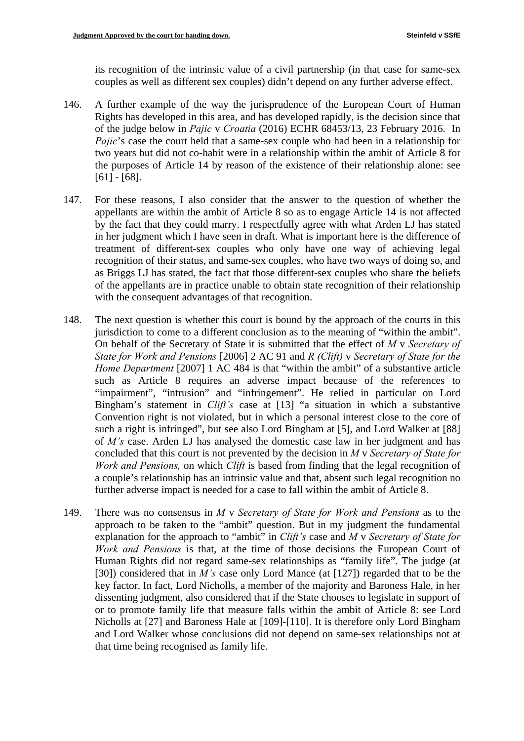its recognition of the intrinsic value of a civil partnership (in that case for same-sex couples as well as different sex couples) didn't depend on any further adverse effect.

- 146. A further example of the way the jurisprudence of the European Court of Human Rights has developed in this area, and has developed rapidly, is the decision since that of the judge below in *Pajic* v *Croatia* (2016) ECHR 68453/13, 23 February 2016. In *Pajic*'s case the court held that a same-sex couple who had been in a relationship for two years but did not co-habit were in a relationship within the ambit of Article 8 for the purposes of Article 14 by reason of the existence of their relationship alone: see [61] - [68].
- 147. For these reasons, I also consider that the answer to the question of whether the appellants are within the ambit of Article 8 so as to engage Article 14 is not affected by the fact that they could marry. I respectfully agree with what Arden LJ has stated in her judgment which I have seen in draft. What is important here is the difference of treatment of different-sex couples who only have one way of achieving legal recognition of their status, and same-sex couples, who have two ways of doing so, and as Briggs LJ has stated, the fact that those different-sex couples who share the beliefs of the appellants are in practice unable to obtain state recognition of their relationship with the consequent advantages of that recognition.
- 148. The next question is whether this court is bound by the approach of the courts in this jurisdiction to come to a different conclusion as to the meaning of "within the ambit". On behalf of the Secretary of State it is submitted that the effect of *M* v *Secretary of State for Work and Pensions* [2006] 2 AC 91 and *R (Clift)* v *Secretary of State for the Home Department* [2007] 1 AC 484 is that "within the ambit" of a substantive article such as Article 8 requires an adverse impact because of the references to "impairment", "intrusion" and "infringement". He relied in particular on Lord Bingham's statement in *Clift's* case at [13] "a situation in which a substantive Convention right is not violated, but in which a personal interest close to the core of such a right is infringed", but see also Lord Bingham at [5], and Lord Walker at [88] of *M's* case. Arden LJ has analysed the domestic case law in her judgment and has concluded that this court is not prevented by the decision in *M* v *Secretary of State for Work and Pensions,* on which *Clift* is based from finding that the legal recognition of a couple's relationship has an intrinsic value and that, absent such legal recognition no further adverse impact is needed for a case to fall within the ambit of Article 8.
- 149. There was no consensus in *M* v *Secretary of State for Work and Pensions* as to the approach to be taken to the "ambit" question. But in my judgment the fundamental explanation for the approach to "ambit" in *Clift's* case and *M* v *Secretary of State for Work and Pensions* is that, at the time of those decisions the European Court of Human Rights did not regard same-sex relationships as "family life". The judge (at [30]) considered that in *M's* case only Lord Mance (at [127]) regarded that to be the key factor. In fact, Lord Nicholls, a member of the majority and Baroness Hale, in her dissenting judgment, also considered that if the State chooses to legislate in support of or to promote family life that measure falls within the ambit of Article 8: see Lord Nicholls at [27] and Baroness Hale at [109]-[110]. It is therefore only Lord Bingham and Lord Walker whose conclusions did not depend on same-sex relationships not at that time being recognised as family life.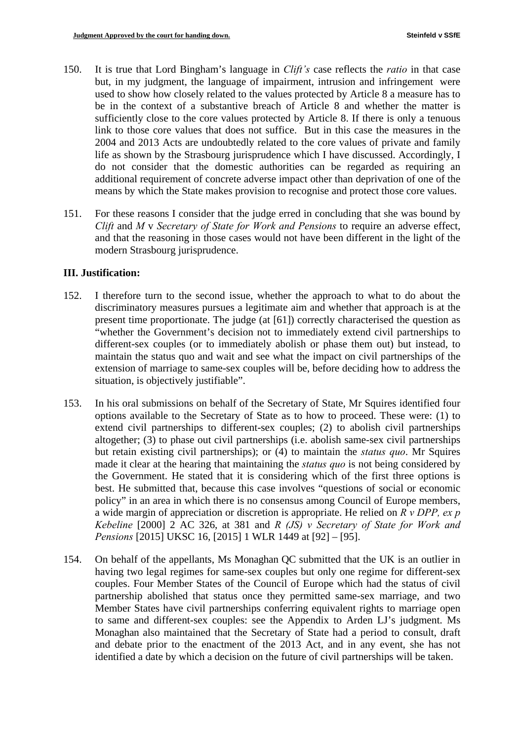- 150. It is true that Lord Bingham's language in *Clift's* case reflects the *ratio* in that case but, in my judgment, the language of impairment, intrusion and infringement were used to show how closely related to the values protected by Article 8 a measure has to be in the context of a substantive breach of Article 8 and whether the matter is sufficiently close to the core values protected by Article 8. If there is only a tenuous link to those core values that does not suffice. But in this case the measures in the 2004 and 2013 Acts are undoubtedly related to the core values of private and family life as shown by the Strasbourg jurisprudence which I have discussed. Accordingly, I do not consider that the domestic authorities can be regarded as requiring an additional requirement of concrete adverse impact other than deprivation of one of the means by which the State makes provision to recognise and protect those core values.
- 151. For these reasons I consider that the judge erred in concluding that she was bound by *Clift* and *M* v *Secretary of State for Work and Pensions* to require an adverse effect, and that the reasoning in those cases would not have been different in the light of the modern Strasbourg jurisprudence.

#### **III. Justification:**

- 152. I therefore turn to the second issue, whether the approach to what to do about the discriminatory measures pursues a legitimate aim and whether that approach is at the present time proportionate. The judge (at [61]) correctly characterised the question as "whether the Government's decision not to immediately extend civil partnerships to different-sex couples (or to immediately abolish or phase them out) but instead, to maintain the status quo and wait and see what the impact on civil partnerships of the extension of marriage to same-sex couples will be, before deciding how to address the situation, is objectively justifiable".
- 153. In his oral submissions on behalf of the Secretary of State, Mr Squires identified four options available to the Secretary of State as to how to proceed. These were: (1) to extend civil partnerships to different-sex couples; (2) to abolish civil partnerships altogether; (3) to phase out civil partnerships (i.e. abolish same-sex civil partnerships but retain existing civil partnerships); or (4) to maintain the *status quo*. Mr Squires made it clear at the hearing that maintaining the *status quo* is not being considered by the Government. He stated that it is considering which of the first three options is best. He submitted that, because this case involves "questions of social or economic policy" in an area in which there is no consensus among Council of Europe members, a wide margin of appreciation or discretion is appropriate. He relied on *R v DPP, ex p Kebeline* [2000] 2 AC 326, at 381 and *R (JS) v Secretary of State for Work and Pensions* [2015] UKSC 16, [2015] 1 WLR 1449 at [92] – [95].
- 154. On behalf of the appellants, Ms Monaghan QC submitted that the UK is an outlier in having two legal regimes for same-sex couples but only one regime for different-sex couples. Four Member States of the Council of Europe which had the status of civil partnership abolished that status once they permitted same-sex marriage, and two Member States have civil partnerships conferring equivalent rights to marriage open to same and different-sex couples: see the Appendix to Arden LJ's judgment. Ms Monaghan also maintained that the Secretary of State had a period to consult, draft and debate prior to the enactment of the 2013 Act, and in any event, she has not identified a date by which a decision on the future of civil partnerships will be taken.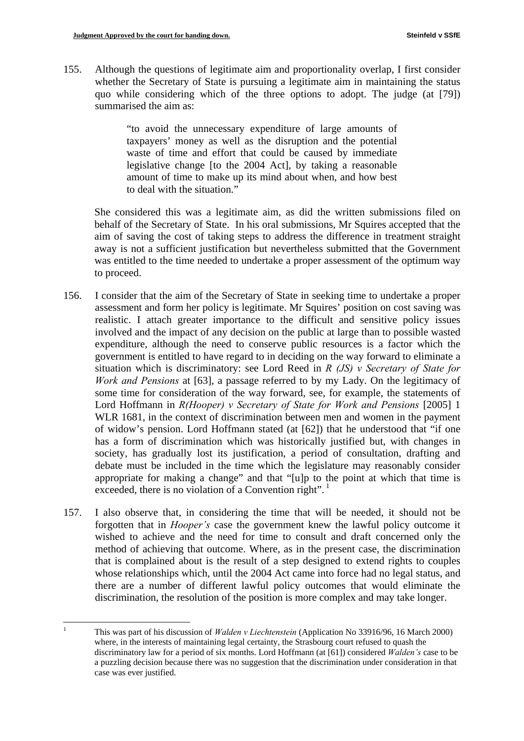155. Although the questions of legitimate aim and proportionality overlap, I first consider whether the Secretary of State is pursuing a legitimate aim in maintaining the status quo while considering which of the three options to adopt. The judge (at [79]) summarised the aim as:

> "to avoid the unnecessary expenditure of large amounts of taxpayers' money as well as the disruption and the potential waste of time and effort that could be caused by immediate legislative change [to the 2004 Act], by taking a reasonable amount of time to make up its mind about when, and how best to deal with the situation."

She considered this was a legitimate aim, as did the written submissions filed on behalf of the Secretary of State. In his oral submissions, Mr Squires accepted that the aim of saving the cost of taking steps to address the difference in treatment straight away is not a sufficient justification but nevertheless submitted that the Government was entitled to the time needed to undertake a proper assessment of the optimum way to proceed.

- 156. I consider that the aim of the Secretary of State in seeking time to undertake a proper assessment and form her policy is legitimate. Mr Squires' position on cost saving was realistic. I attach greater importance to the difficult and sensitive policy issues involved and the impact of any decision on the public at large than to possible wasted expenditure, although the need to conserve public resources is a factor which the government is entitled to have regard to in deciding on the way forward to eliminate a situation which is discriminatory: see Lord Reed in *R (JS) v Secretary of State for Work and Pensions* at [63], a passage referred to by my Lady. On the legitimacy of some time for consideration of the way forward, see, for example, the statements of Lord Hoffmann in *R(Hooper) v Secretary of State for Work and Pensions* [2005] 1 WLR 1681, in the context of discrimination between men and women in the payment of widow's pension. Lord Hoffmann stated (at [62]) that he understood that "if one has a form of discrimination which was historically justified but, with changes in society, has gradually lost its justification, a period of consultation, drafting and debate must be included in the time which the legislature may reasonably consider appropriate for making a change" and that "[u]p to the point at which that time is exceeded, there is no violation of a Convention right".  $\frac{1}{1}$
- 157. I also observe that, in considering the time that will be needed, it should not be forgotten that in *Hooper's* case the government knew the lawful policy outcome it wished to achieve and the need for time to consult and draft concerned only the method of achieving that outcome. Where, as in the present case, the discrimination that is complained about is the result of a step designed to extend rights to couples whose relationships which, until the 2004 Act came into force had no legal status, and there are a number of different lawful policy outcomes that would eliminate the discrimination, the resolution of the position is more complex and may take longer.

<u>.</u>

 1 This was part of his discussion of *Walden v Liechtenstein* (Application No 33916/96, 16 March 2000) where, in the interests of maintaining legal certainty, the Strasbourg court refused to quash the discriminatory law for a period of six months. Lord Hoffmann (at [61]) considered *Walden's* case to be a puzzling decision because there was no suggestion that the discrimination under consideration in that case was ever justified.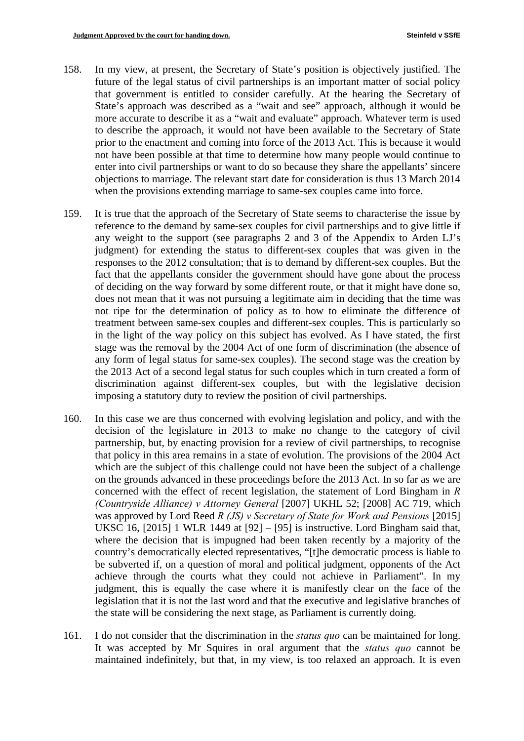- 158. In my view, at present, the Secretary of State's position is objectively justified. The future of the legal status of civil partnerships is an important matter of social policy that government is entitled to consider carefully. At the hearing the Secretary of State's approach was described as a "wait and see" approach, although it would be more accurate to describe it as a "wait and evaluate" approach. Whatever term is used to describe the approach, it would not have been available to the Secretary of State prior to the enactment and coming into force of the 2013 Act. This is because it would not have been possible at that time to determine how many people would continue to enter into civil partnerships or want to do so because they share the appellants' sincere objections to marriage. The relevant start date for consideration is thus 13 March 2014 when the provisions extending marriage to same-sex couples came into force.
- 159. It is true that the approach of the Secretary of State seems to characterise the issue by reference to the demand by same-sex couples for civil partnerships and to give little if any weight to the support (see paragraphs 2 and 3 of the Appendix to Arden LJ's judgment) for extending the status to different-sex couples that was given in the responses to the 2012 consultation; that is to demand by different-sex couples. But the fact that the appellants consider the government should have gone about the process of deciding on the way forward by some different route, or that it might have done so, does not mean that it was not pursuing a legitimate aim in deciding that the time was not ripe for the determination of policy as to how to eliminate the difference of treatment between same-sex couples and different-sex couples. This is particularly so in the light of the way policy on this subject has evolved. As I have stated, the first stage was the removal by the 2004 Act of one form of discrimination (the absence of any form of legal status for same-sex couples). The second stage was the creation by the 2013 Act of a second legal status for such couples which in turn created a form of discrimination against different-sex couples, but with the legislative decision imposing a statutory duty to review the position of civil partnerships.
- 160. In this case we are thus concerned with evolving legislation and policy, and with the decision of the legislature in 2013 to make no change to the category of civil partnership, but, by enacting provision for a review of civil partnerships, to recognise that policy in this area remains in a state of evolution. The provisions of the 2004 Act which are the subject of this challenge could not have been the subject of a challenge on the grounds advanced in these proceedings before the 2013 Act. In so far as we are concerned with the effect of recent legislation, the statement of Lord Bingham in *R (Countryside Alliance) v Attorney General* [2007] UKHL 52; [2008] AC 719, which was approved by Lord Reed *R (JS) v Secretary of State for Work and Pensions* [2015] UKSC 16, [2015] 1 WLR 1449 at [92] – [95] is instructive. Lord Bingham said that, where the decision that is impugned had been taken recently by a majority of the country's democratically elected representatives, "[t]he democratic process is liable to be subverted if, on a question of moral and political judgment, opponents of the Act achieve through the courts what they could not achieve in Parliament". In my judgment, this is equally the case where it is manifestly clear on the face of the legislation that it is not the last word and that the executive and legislative branches of the state will be considering the next stage, as Parliament is currently doing.
- 161. I do not consider that the discrimination in the *status quo* can be maintained for long. It was accepted by Mr Squires in oral argument that the *status quo* cannot be maintained indefinitely, but that, in my view, is too relaxed an approach. It is even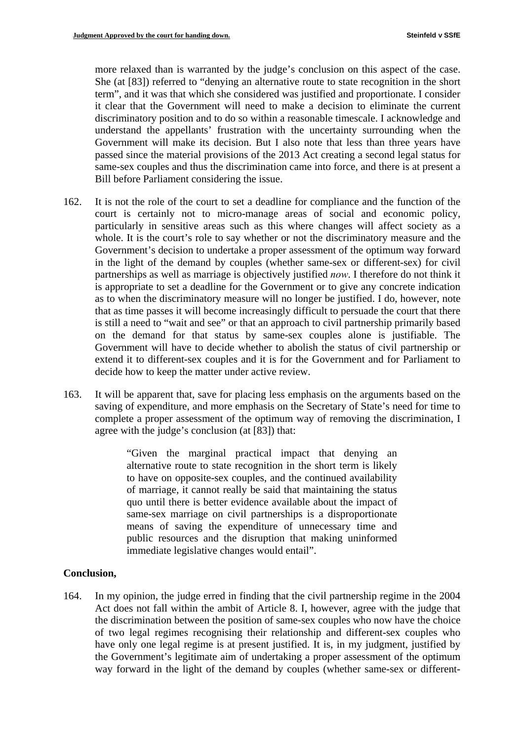more relaxed than is warranted by the judge's conclusion on this aspect of the case. She (at [83]) referred to "denying an alternative route to state recognition in the short term", and it was that which she considered was justified and proportionate. I consider it clear that the Government will need to make a decision to eliminate the current discriminatory position and to do so within a reasonable timescale. I acknowledge and understand the appellants' frustration with the uncertainty surrounding when the Government will make its decision. But I also note that less than three years have passed since the material provisions of the 2013 Act creating a second legal status for same-sex couples and thus the discrimination came into force, and there is at present a Bill before Parliament considering the issue.

- 162. It is not the role of the court to set a deadline for compliance and the function of the court is certainly not to micro-manage areas of social and economic policy, particularly in sensitive areas such as this where changes will affect society as a whole. It is the court's role to say whether or not the discriminatory measure and the Government's decision to undertake a proper assessment of the optimum way forward in the light of the demand by couples (whether same-sex or different-sex) for civil partnerships as well as marriage is objectively justified *now*. I therefore do not think it is appropriate to set a deadline for the Government or to give any concrete indication as to when the discriminatory measure will no longer be justified. I do, however, note that as time passes it will become increasingly difficult to persuade the court that there is still a need to "wait and see" or that an approach to civil partnership primarily based on the demand for that status by same-sex couples alone is justifiable. The Government will have to decide whether to abolish the status of civil partnership or extend it to different-sex couples and it is for the Government and for Parliament to decide how to keep the matter under active review.
- 163. It will be apparent that, save for placing less emphasis on the arguments based on the saving of expenditure, and more emphasis on the Secretary of State's need for time to complete a proper assessment of the optimum way of removing the discrimination, I agree with the judge's conclusion (at [83]) that:

"Given the marginal practical impact that denying an alternative route to state recognition in the short term is likely to have on opposite-sex couples, and the continued availability of marriage, it cannot really be said that maintaining the status quo until there is better evidence available about the impact of same-sex marriage on civil partnerships is a disproportionate means of saving the expenditure of unnecessary time and public resources and the disruption that making uninformed immediate legislative changes would entail".

#### **Conclusion,**

164. In my opinion, the judge erred in finding that the civil partnership regime in the 2004 Act does not fall within the ambit of Article 8. I, however, agree with the judge that the discrimination between the position of same-sex couples who now have the choice of two legal regimes recognising their relationship and different-sex couples who have only one legal regime is at present justified. It is, in my judgment, justified by the Government's legitimate aim of undertaking a proper assessment of the optimum way forward in the light of the demand by couples (whether same-sex or different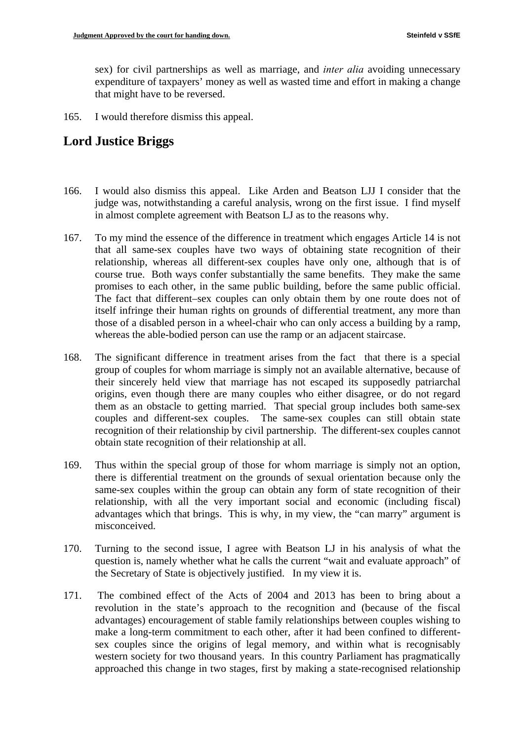sex) for civil partnerships as well as marriage, and *inter alia* avoiding unnecessary expenditure of taxpayers' money as well as wasted time and effort in making a change that might have to be reversed.

165. I would therefore dismiss this appeal.

# **Lord Justice Briggs**

- 166. I would also dismiss this appeal. Like Arden and Beatson LJJ I consider that the judge was, notwithstanding a careful analysis, wrong on the first issue. I find myself in almost complete agreement with Beatson LJ as to the reasons why.
- promises to each other, in the same public building, before the same public official. 167. To my mind the essence of the difference in treatment which engages Article 14 is not that all same-sex couples have two ways of obtaining state recognition of their relationship, whereas all different-sex couples have only one, although that is of course true. Both ways confer substantially the same benefits. They make the same The fact that different–sex couples can only obtain them by one route does not of itself infringe their human rights on grounds of differential treatment, any more than those of a disabled person in a wheel-chair who can only access a building by a ramp, whereas the able-bodied person can use the ramp or an adjacent staircase.
- 168. The significant difference in treatment arises from the fact that there is a special group of couples for whom marriage is simply not an available alternative, because of their sincerely held view that marriage has not escaped its supposedly patriarchal origins, even though there are many couples who either disagree, or do not regard them as an obstacle to getting married. That special group includes both same-sex couples and different-sex couples. The same-sex couples can still obtain state recognition of their relationship by civil partnership. The different-sex couples cannot obtain state recognition of their relationship at all.
- 169. Thus within the special group of those for whom marriage is simply not an option, there is differential treatment on the grounds of sexual orientation because only the same-sex couples within the group can obtain any form of state recognition of their relationship, with all the very important social and economic (including fiscal) advantages which that brings. This is why, in my view, the "can marry" argument is misconceived.
- 170. Turning to the second issue, I agree with Beatson LJ in his analysis of what the question is, namely whether what he calls the current "wait and evaluate approach" of the Secretary of State is objectively justified. In my view it is.
- 171. The combined effect of the Acts of 2004 and 2013 has been to bring about a revolution in the state's approach to the recognition and (because of the fiscal advantages) encouragement of stable family relationships between couples wishing to make a long-term commitment to each other, after it had been confined to differentsex couples since the origins of legal memory, and within what is recognisably western society for two thousand years. In this country Parliament has pragmatically approached this change in two stages, first by making a state-recognised relationship